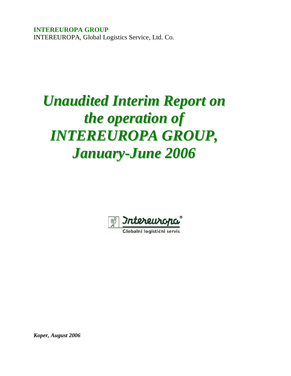**INTEREUROPA GROUP**  INTEREUROPA, Global Logistics Service, Ltd. Co.

# *Unaudited Interim Report on the operation of INTEREUROPA GROUP, January-June 2006*



Globalni logistični servis

*Koper, August 2006*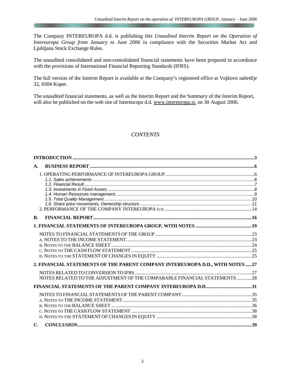The Company INTEREUROPA d.d. is publishing this *Unaudited Interim Report on the Operation of Intereuropa Group from January to June 2006* in compliance with the Securities Market Act and Ljubljana Stock Exchange Rules.

The unaudited consolidated and non-consolidated financial statements have been prepared in accordance with the provisions of International Financial Reporting Standards (IFRS).

The full version of the Interim Report is available at the Company's registered office at Vojkovo nabrežje 32, 6504 Koper.

The unaudited financial statements, as well as the Interim Report and the Summary of the Interim Report, will also be published on the web site of Intereuropa d.d. [www.intereuropa.si](http://www.intereuropa.si), on 30 August 2006.

# *CONTENTS*

| A.                                                                            |  |
|-------------------------------------------------------------------------------|--|
|                                                                               |  |
|                                                                               |  |
|                                                                               |  |
| <b>B.</b>                                                                     |  |
|                                                                               |  |
|                                                                               |  |
| 2. FINANCIAL STATEMENTS OF THE PARENT COMPANY INTEREUROPA D.D., WITH NOTES 27 |  |
| NOTES RELATED TO THE ADJUSTMENT OF THE COMPARABLE FINANCIAL STATEMENTS 28     |  |
| FINANCIAL STATEMENTS OF THE PARENT COMPANY INTEREUROPA D.D31                  |  |
|                                                                               |  |
| $\mathbf{C}$                                                                  |  |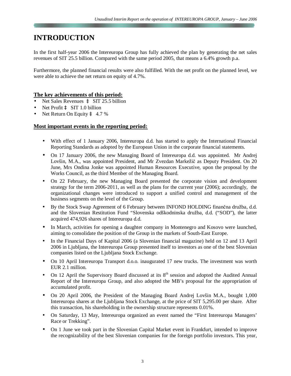# **INTRODUCTION**

In the first half-year 2006 the Intereuropa Group has fully achieved the plan by generating the net sales revenues of SIT 25.5 billion. Compared with the same period 2005, that means a 6.4% growth p.a.

Furthermore, the planned financial results were also fulfilled. With the net profit on the planned level, we were able to achieve the net return on equity of 4.7%.

#### **The key achievements of this period:**

- Net Sales Revenues à SIT 25.5 billion
- **Net Profit à SIT 1.0 billion**
- Net Return On Equity  $\hat{a}$  4.7 %

#### **Most important events in the reporting period:**

- With effect of 1 January 2006, Intereuropa d.d. has started to apply the International Financial Reporting Standards as adopted by the European Union in the corporate financial statements.
- On 17 January 2006, the new Managing Board of Intereuropa d.d. was appointed. Mr Andrej Lovšin, M.A., was appointed President, and Mr Zvezdan Markežič as Deputy President. On 20 June, Mrs Ondina Jonke was appointed Human Resources Executive, upon the proposal by the Works Council, as the third Member of the Managing Board.
- On 22 February, the new Managing Board presented the corporate vision and development strategy for the term 2006-2011, as well as the plans for the current year (2006); accordingly, the organizational changes were introduced to support a unified control and management of the business segments on the level of the Group.
- By the Stock Swap Agreement of 6 February between INFOND HOLDING finančna družba, d.d. and the Slovenian Restitution Fund "Slovenska odškodninska družba, d.d. ("SOD"), the latter acquired 474,926 shares of Intereuropa d.d.
- In March, activities for opening a daughter company in Montenegro and Kosovo were launched, aiming to consolidate the position of the Group in the markets of South-East Europe.
- In the Financial Days of Kapital 2006 (a Slovenian financial magazine) held on 12 and 13 April 2006 in Ljubljana, the Intereuropa Group presented itself to investors as one of the best Slovenian companies listed on the Ljubljana Stock Exchange.
- On 10 April Intereuropa Transport d.o.o. inaugurated 17 new trucks. The investment was worth EUR 2.1 million.
- On 12 April the Supervisory Board discussed at its  $8<sup>th</sup>$  session and adopted the Audited Annual Report of the Intereuropa Group, and also adopted the MB's proposal for the appropriation of accumulated profit.
- On 20 April 2006, the President of the Managing Board Andrej Lovšin M.A., bought 1,000 Intereuropa shares at the Ljubljana Stock Exchange, at the price of SIT 5,295.00 per share. After this transaction, his shareholding in the ownership structure represents 0.01%.
- On Saturday, 13 May, Intereuropa organized an event named the "First Intereuropa Managers" Race or Trekking".
- On 1 June we took part in the Slovenian Capital Market event in Frankfurt, intended to improve the recognizability of the best Slovenian companies for the foreign portfolio investors. This year,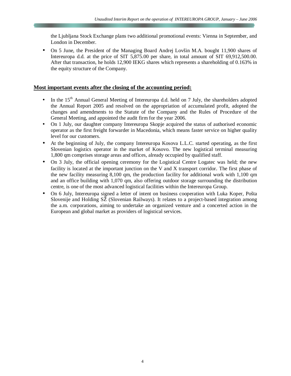the Ljubljana Stock Exchange plans two additional promotional events: Vienna in September, and London in December.

• On 5 June, the President of the Managing Board Andrej Lovšin M.A. bought 11,900 shares of Intereuropa d.d. at the price of SIT 5,875.00 per share, in total amount of SIT 69,912,500.00. After that transaction, he holds 12,900 IEKG shares which represents a shareholding of 0.163% in the equity structure of the Company.

#### **Most important events after the closing of the accounting period:**

- In the 15<sup>th</sup> Annual General Meeting of Intereuropa d.d. held on 7 July, the shareholders adopted the Annual Report 2005 and resolved on the appropriation of accumulated profit, adopted the changes and amendments to the Statute of the Company and the Rules of Procedure of the General Meeting, and appointed the audit firm for the year 2006.
- On 1 July, our daughter company Intereuropa Skopje acquired the status of authorised economic operator as the first freight forwarder in Macedonia, which means faster service on higher quality level for our customers.
- At the beginning of July, the company Intereuropa Kosova L.L.C. started operating, as the first Slovenian logistics operator in the market of Kosovo. The new logistical terminal measuring 1,800 qm comprises storage areas and offices, already occupied by qualified staff.
- On 3 July, the official opening ceremony for the Logistical Centre Logatec was held; the new facility is located at the important junction on the V and X transport corridor. The first phase of the new facility measuring 8,100 qm, the production facility for additional work with 1,100 qm and an office building with 1,070 qm, also offering outdoor storage surrounding the distribution centre, is one of the most advanced logistical facilities within the Intereuropa Group.
- On 6 July, Intereuropa signed a letter of intent on business cooperation with Luka Koper, Pošta Slovenije and Holding SŽ (Slovenian Railways). It relates to a project-based integration among the a.m. corporations, aiming to undertake an organized venture and a concerted action in the European and global market as providers of logistical services.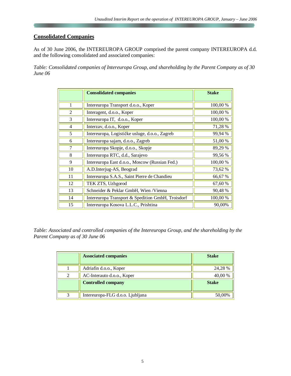# **Consolidated Companies**

As of 30 June 2006, the INTEREUROPA GROUP comprised the parent company INTEREUROPA d.d. and the following consolidated and associated companies:

*Table: Consolidated companies of Intereuropa Group, and shareholding by the Parent Company as of 30 June 06*

|                | <b>Consolidated companies</b>                     | <b>Stake</b> |
|----------------|---------------------------------------------------|--------------|
| 1              | Intereuropa Transport d.o.o., Koper               | 100,00 %     |
| $\overline{2}$ | Interagent, d.o.o., Koper                         | 100,00 %     |
| 3              | Intereuropa IT, d.o.o., Koper                     | 100,00 %     |
| $\overline{4}$ | Interzav, d.o.o., Koper                           | 71,28 %      |
| 5              | Intereuropa, Logističke usluge, d.o.o., Zagreb    | 99,94 %      |
| 6              | Intereuropa sajam, d.o.o., Zagreb                 | 51,00 %      |
| 7              | Intereuropa Skopje, d.o.o., Skopje                | 89,29 %      |
| 8              | Intereuropa RTC, d.d., Sarajevo                   | 99,56%       |
| 9              | Intereuropa East d.o.o., Moscow (Russian Fed.)    | 100,00 %     |
| 10             | A.D.Interjug-AS, Beograd                          | 73,62 %      |
| 11             | Intereuropa S.A.S., Saint Pierre de Chandieu      | 66,67 %      |
| 12             | TEK ZTS, Uzhgorod                                 | 67,60 %      |
| 13             | Schneider & Peklar GmbH, Wien / Vienna            | 90,48%       |
| 14             | Intereuropa Transport & Spedition GmbH, Troisdorf | 100,00 %     |
| 15             | Intereuropa Kosova L.L.C., Prishtina              | 90,00%       |

*Table: Associated and controlled companies of the Intereuropa Group, and the shareholding by the Parent Company as of 30 June 06*

|                | <b>Associated companies</b>      | <b>Stake</b> |
|----------------|----------------------------------|--------------|
|                | Adriafin d.o.o., Koper           | 24,28 %      |
| $\mathfrak{D}$ | AC-Interauto d.o.o., Koper       | 40,00 %      |
|                | <b>Controlled company</b>        | <b>Stake</b> |
| 2              | Intereuropa-FLG d.o.o. Ljubljana | 50,00%       |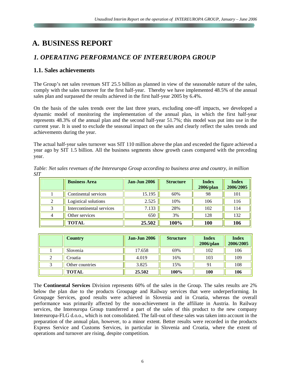# **A. BUSINESS REPORT**

# *1. OPERATING PERFORMANCE OF INTEREUROPA GROUP*

## **1.1. Sales achievements**

The Group's net sales revenues SIT 25.5 billion as planned in view of the seasonable nature of the sales, comply with the sales turnover for the first half-year. Thereby we have implemented 48.5% of the annual sales plan and surpassed the results achieved in the first half-year 2005 by 6.4%.

On the basis of the sales trends over the last three years, excluding one-off impacts, we developed a dynamic model of monitoring the implementation of the annual plan, in which the first half-year represents 48.3% of the annual plan and the second half-year 51.7%; this model was put into use in the current year. It is used to exclude the seasonal impact on the sales and clearly reflect the sales trends and achievements during the year.

The actual half-year sales turnover was SIT 110 million above the plan and exceeded the figure achieved a year ago by SIT 1.5 billion. All the business segments show growth cases compared with the preceding year.

| Table: Net sales revenues of the Intereuropa Group according to business area and country, in million |  |  |
|-------------------------------------------------------------------------------------------------------|--|--|
| <i>SIT</i>                                                                                            |  |  |

|   | <b>Business Area</b>      | <b>Jan-Jun 2006</b> | <b>Structure</b> | <b>Index</b><br>2006/plan | <b>Index</b><br>2006/2005 |
|---|---------------------------|---------------------|------------------|---------------------------|---------------------------|
|   | Continental services      | 15.195              | 60%              | 98                        | 101                       |
| 2 | Logistical solutions      | 2.525               | 10%              | 106                       | 116                       |
|   | Intercontinental services | 7.133               | 28%              | 102                       | 114                       |
| 4 | Other services            | 650                 | 3%               | 128                       | 132                       |
|   | <b>TOTAL</b>              | 25.502              | 100%             | <b>100</b>                | 106                       |

|   | <b>Country</b>  | <b>Jan-Jun 2006</b> | <b>Structure</b> | <b>Index</b><br>$2006$ /plan | <b>Index</b><br>2006/2005 |
|---|-----------------|---------------------|------------------|------------------------------|---------------------------|
|   | Slovenia        | 17.658              | 69%              | 102                          | 106                       |
| 2 | Croatia         | 4.019               | 16%              | 103                          | 109                       |
|   | Other countries | 3.825               | 15%              | 91                           | 108                       |
|   | <b>TOTAL</b>    | 25.502              | 100%             | 100                          | 106                       |

The **Continental Services** Division represents 60% of the sales in the Group. The sales results are 2% below the plan due to the products Groupage and Railway services that were underperforming. In Groupage Services, good results were achieved in Slovenia and in Croatia, whereas the overall performance was primarily affected by the non-achievement in the affiliate in Austria. In Railway services, the Intereuropa Group transferred a part of the sales of this product to the new company Intereuropa-FLG d.o.o., which is not consolidated. The fall-out of these sales was taken into account in the preparation of the annual plan, however, to a minor extent. Better results were recorded in the products Express Service and Customs Services, in particular in Slovenia and Croatia, where the extent of operations and turnover are rising, despite competition.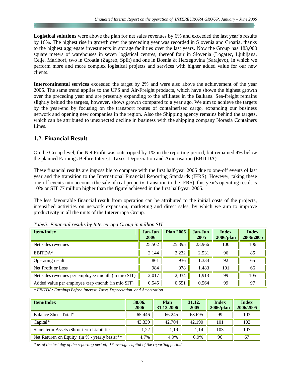**Logistical solutions** were above the plan for net sales revenues by 6% and exceeded the last year's results by 16%. The highest rise in growth over the preceding year was recorded in Slovenia and Croatia, thanks to the highest aggregate investments in storage facilities over the last years. Now the Group has 183,000 square meters of warehouses in seven logistical centres, thereof four in Slovenia (Logatec, Ljubljana, Celje, Maribor), two in Croatia (Zagreb, Split) and one in Bosnia & Herzegovina (Sarajevo), in which we perform more and more complex logistical projects and services with higher added value for our new clients.

**Intercontinental services** exceeded the target by 2% and were also above the achievement of the year 2005. The same trend applies to the UPS and Air-Freight products, which have shown the highest growth over the preceding year and are presently expanding to the affiliates in the Balkans. Sea-freight remains slightly behind the targets, however, shows growth compared to a year ago. We aim to achieve the targets by the year-end by focusing on the transport routes of containerised cargo, expanding our business network and opening new companies in the region. Also the Shipping agency remains behind the targets, which can be attributed to unexpected decline in business with the shipping company Norasia Containers Lines.

## **1.2. Financial Result**

On the Group level, the Net Profit was outstripped by 1% in the reporting period, but remained 4% below the planned Earnings Before Interest, Taxes, Depreciation and Amortisation (EBITDA).

These financial results are impossible to compare with the first half-year 2005 due to one-off events of last year and the transition to the International Financial Reporting Standards (IFRS). However, taking these one-off events into account (the sale of real property, transition to the IFRS), this year's operating result is 10% or SIT 77 million higher than the figure achieved in the first half-year 2005.

The less favourable financial result from operation can be attributed to the initial costs of the projects, intensified activities on network expansion, marketing and direct sales, by which we aim to improve productivity in all the units of the Intereuropa Group.

| <b>Item/Index</b>                                   | Jan-Jun<br>2006 | <b>Plan 2006</b> | Jan-Jun<br>2005 | <b>Index</b><br>$2006$ /plan | <b>Index</b><br>2006/2005 |
|-----------------------------------------------------|-----------------|------------------|-----------------|------------------------------|---------------------------|
| Net sales revenues                                  | 25.502          | 25.395           | 23.966          | 100                          | 106                       |
| EBITDA*                                             | 2.144           | 2.232            | 2.531           | 96                           | 85                        |
| Operating result                                    | 861             | 936              | 1.334           | 92                           | 65                        |
| Net Profit or Loss                                  | 984             | 978              | 1.483           | 101                          | 66                        |
| Net sales revenues per employee /month (in mio SIT) | 2,017           | 2,034            | 1,913           | 99                           | 105                       |
| Added value per employee /zap /month (in mio SIT)   | 0,545           | 0,551            | 0,564           | 99                           | 97                        |

*Tabeli: Financial results by Intereuropa Group in million SIT* 

*\* EBITDA: Earnings Before Interest, Taxes,Depreciation and Amorization* 

| <b>Item/Index</b>                                           | 30.06.<br>2006 | Plan<br>31.12.2006 | 31.12.<br>2005 | <b>Index</b><br>$2006$ /plan | <b>Index</b><br>2006/2005 |
|-------------------------------------------------------------|----------------|--------------------|----------------|------------------------------|---------------------------|
| Balance Sheet Total*                                        | 65.446         | 66.245             | 63.695         | 99                           | 103                       |
| $Capital*$                                                  | 43.339         | 42.704             | 42.190         | 101                          | 103                       |
| Short-term Assets /Short-term Liabilities                   | 1,22           | 1,19               | 1.14           | 103                          | 107                       |
| Net Returen on Equity (in $%$ - yearly basis) <sup>**</sup> | 4.7%           | 4,9%               | 6.9%           | 96                           | 67                        |

*\* as of the last day of the reporting period, \*\* average capital of the reporting period*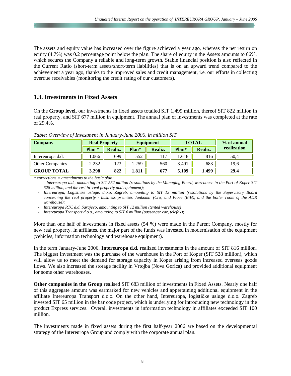The assets and equity value has increased over the figure achieved a year ago, whereas the net return on equity (4.7%) was 0.2 percentage point below the plan. The share of equity in the Assets amounts to 66%, which secures the Company a reliable and long-term growth. Stable financial position is also reflected in the Current Ratio (short-term assets/short-term liabilities) that is on an upward trend compared to the achievement a year ago, thanks to the improved sales and credit management, i.e. our efforts in collecting overdue receivables (monitoring the credit rating of our customers).

#### **1.3. Investments in Fixed Assets**

On the **Group level,** our investments in fixed assets totalled SIT 1,499 million, thereof SIT 822 million in real property, and SIT 677 million in equipment. The annual plan of investments was completed at the rate of 29.4%.

| <b>Company</b>         | <b>Real Property</b> |         | Equipment |                |       | <b>TOTAL</b> | % of annual |
|------------------------|----------------------|---------|-----------|----------------|-------|--------------|-------------|
|                        | Plan <sup>*</sup>    | Realiz. | Plan*     | <b>Realiz.</b> | Plan* | Realiz.      | realization |
| Intereuropa d.d.       | .066                 | 699     | 552       | 117            | 1.618 | 816          | 50,4        |
| <b>Other Companies</b> | 2.232                | 123     | .259      | 560            | 3.491 | 683          | 19.6        |
| <b>GROUP TOTAL</b>     | 3.298                | 822     | 1.811     | 677            | 5.109 | 1.499        | 29,4        |

*Table: Overview of Investment in January-June 2006, in million SIT*

*\* corrections = amendments to the basic plan:* 

- - Intereuropa d.d., amounting to SIT 552 million (resolutions by the Managing Board, warehouse in the Port of Koper SIT *528 million, and the rest in real property and equipment);* 

- Intereuropa, Logističke usluge, d.o.o. Zagreb, amounting to SIT 13 million (resolutions by the Supervisory Board concerning the real property - business premises Jankomir (Cro) and Ploće (BiH), and the boiler room of the ADR *warehouse);* 

- *Intereuropa RTC d.d. Sarajevo, amounting to SIT 12 million (tented warehouse)* 

- *Intereuropa Transport d.o.o., amounting to SIT 6 million (passenger car, telefax);* 

More than one half of investments in fixed assets (54 %) were made in the Parent Company, mostly for new real property. In affiliates, the major part of the funds was invested in modernisation of the equipment (vehicles, information technology and warehouse equipment).

In the term January-June 2006, **Intereuropa d.d**. realized investments in the amount of SIT 816 million. The biggest investment was the purchase of the warehouse in the Port of Koper (SIT 528 million), which will allow us to meet the demand for storage capacity in Koper arising from increased overseas goods flows. We also increased the storage facility in Vrtojba (Nova Gorica) and provided additional equipment for some other warehouses.

**Other companies in the Group** realised SIT 683 million of investments in Fixed Assets. Nearly one half of this aggregate amount was earmarked for new vehicles and appertaining additional equipment in the affiliate Intereuropa Transport d.o.o. On the other hand, Intereuropa, logističke usluge d.o.o. Zagreb invested SIT 65 million in the bar code project, which is underlying for introducing new technology in the product Express services. Overall investments in information technology in affiliates exceeded SIT 100 million.

The investments made in fixed assets during the first half-year 2006 are based on the developmental strategy of the Intereuropa Group and comply with the corporate annual plan.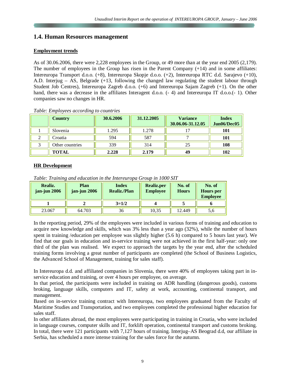## **1.4. Human Resources management**

#### **Employment trends**

As of 30.06.2006, there were 2,228 employees in the Group, or 49 more than at the year end 2005 (2,179). The number of employees in the Group has risen in the Parent Company (+14) and in some affiliates: Intereuropa Transport d.o.o. (+8), Intereuropa Skopje d.o.o. (+2), Intereuropa RTC d.d. Sarajevo (+10), A.D. Interjug – AS, Belgrade (+13, following the changed law regulating the student labour through Student Job Centres), Intereuropa Zagreb d.o.o. (+6) and Intereuropa Sajam Zagreb (+1). On the other hand, there was a decrease in the affiliates Interagent d.o.o.  $(-4)$  and Intereuropa IT d.o.o.  $(-1)$ . Other companies saw no changes in HR.

| <b>Country</b>  | 30.6.2006 | 31.12.2005 | <b>Variance</b><br>30.06.06-31.12.05 | <b>Index</b><br>Jun06/Dec05 |
|-----------------|-----------|------------|--------------------------------------|-----------------------------|
| Slovenia        | 1.295     | 1.278      |                                      | 101                         |
| Croatia         | 594       | 587        |                                      | 101                         |
| Other countries | 339       | 314        | 25                                   | 108                         |
| <b>TOTAL</b>    | 2.228     | 2.179      | 49                                   | 102                         |

#### *Table: Employees according to countries*

#### **HR Development**

*Table: Training and education in the Intereuropa Group in 1000 SIT* 

| Realiz.<br>jan-jun 2006 | Plan<br>jan-jun 2006 | <b>Index</b><br><b>Realiz./Plan</b> | <b>Realiz.per</b><br><b>Employee</b> | No. of<br><b>Hours</b> | No. of<br><b>Hours</b> per<br><b>Employee</b> |
|-------------------------|----------------------|-------------------------------------|--------------------------------------|------------------------|-----------------------------------------------|
|                         |                      | $3=1/2$                             |                                      |                        |                                               |
| 23.067                  | 64.703               | 36                                  | 10,35                                | 12.449                 | 5.0                                           |

In the reporting period, 29% of the employees were included in various forms of training and education to acquire new knowledge and skills, which was 3% less than a year ago (32%), while the number of hours spent in training /education per employee was slightly higher (5.6 h) compared to 5 hours last year). We find that our goals in education and in-service training were not achieved in the first half-year: only one third of the plan was realised. We expect to approach the targets by the year end, after the scheduled training forms involving a great number of participants are completed (the School of Business Logistics, the Advanced School of Management, training for sales staff).

In Intereuropa d.d. and affiliated companies in Slovenia, there were 40% of employees taking part in inservice education and training, or over 4 hours per employee, on average.

In that period, the participants were included in training on ADR handling (dangerous goods), customs broking, language skills, computers and IT, safety at work, accounting, continental transport, and management.

Based on in-service training contract with Intereuropa, two employees graduated from the Faculty of Maritime Studies and Transportation, and two employees completed the professional higher education for sales staff.

In other affiliates abroad, the most employees were participating in training in Croatia, who were included in language courses, computer skills and IT, forklift operation, continental transport and customs broking. In total, there were 121 participants with 7,127 hours of training. Interjug–AS Beograd d.d, our affiliate in Serbia, has scheduled a more intense training for the sales force for the autumn.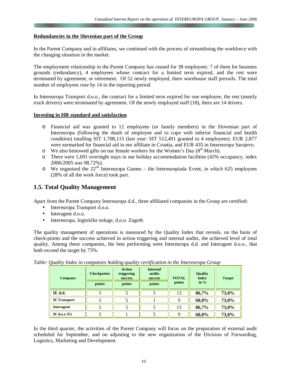#### **Redundancies in the Slovenian part of the Group**

In the Parent Company and in affiliates, we continued with the process of streamlining the workforce with the changing situation in the market.

The employment relationship in the Parent Company has ceased for 38 employees: 7 of them for business grounds (redundancy), 4 employees whose contract for a limited term expired, and the rest were terminated by agreement, or retirement. Of 52 newly employed, there warehouse staff prevails. The total number of employees rose by 14 in the reporting period.

In Intereuropa Transport d.o.o., the contract for a limited term expired for one employee, the rest (mostly truck drivers) were terminated by agreement. Of the newly employed staff (18), there are 14 drivers.

#### **Investing in HR standard and satisfaction**

- o Financial aid was granted to 12 employees (or family members) in the Slovenian part of Intereuropa (following the death of employee and to cope with inferior financial and health condition) totalling SIT 1,708,115 (last year: SIT 512,491 granted to 4 employees). EUR 2,877 were earmarked for financial aid in our affiliate in Croatia, and EUR 435 in Intereuropa Sarajevo.
- $\circ$  We also bestowed gifts on our female workers for the Women's Day (8<sup>th</sup> March).
- o There were 1,691 overnight stays in our holiday accommodation facilities (42% occupancy, index 2006/2005 was 98.72%).
- $\circ$  We organised the 22<sup>nd</sup> Intereuropa Games the Intereuropiada Event, in which 625 employees (28% of all the work force) took part.

# **1.5. Total Quality Management**

Apart from the Parent Company Intereuropa d.d., three affiliated companies in the Group are certified:

- Intereuropa Transport d.o.o.
- Interagent d.o.o.
- Intereuropa, logističke usluge, d.o.o. Zagreb

The quality management of operations is measured by the Quality Index that reveals, on the basis of check-points and the success achieved in action triggering and internal audits, the achieved level of total quality. Among these companies, the best performing were Intereuropa d.d. and Interagent d.o.o., that both exceed the target by 73%.

| <b>Company</b>      | <b>Checkpoints</b> | <b>Action</b><br>triggering<br><b>success</b> | <b>Internal</b><br>audits<br>success | <b>TOTAL</b> | <b>Quality</b><br>index | <b>Target</b> |
|---------------------|--------------------|-----------------------------------------------|--------------------------------------|--------------|-------------------------|---------------|
|                     | points             | points                                        | points                               | points       | in $%$                  |               |
| IE d.d.             | 3                  |                                               |                                      | 13           | 86,7%                   | 73,0%         |
| <b>IE</b> Transport | 3                  |                                               |                                      | Q            | 60,0%                   | 73,0%         |
| <b>Interagent</b>   | 3                  |                                               |                                      | 13           | 86,7%                   | 73,0%         |
| IE d.o.o ZG         | 3                  |                                               |                                      | Q            | 60,0%                   | 73,0%         |

*Table: Quality Index in companies holding quality certification in the Intereuropa Group*

In the third quarter, the activities of the Parent Company will focus on the preparation of external audit scheduled for September, and on adjusting to the new organization of the Division of Forwarding, Logistics, Marketing and Development.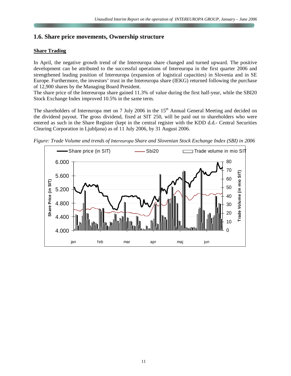# **1.6. Share price movements, Ownership structure**

#### **Share Trading**

In April, the negative growth trend of the Intereuropa share changed and turned upward. The positive development can be attributed to the successful operations of Intereuropa in the first quarter 2006 and strengthened leading position of Intereuropa (expansion of logistical capacities) in Slovenia and in SE Europe. Furthermore, the investors' trust in the Intereuropa share (IEKG) returned following the purchase of 12,900 shares by the Managing Board President.

The share price of the Intereuropa share gained 11.3% of value during the first half-year, while the SBI20 Stock Exchange Index improved 10.5% in the same term.

The shareholders of Intereuropa met on 7 July 2006 in the 15<sup>th</sup> Annual General Meeting and decided on the dividend payout. The gross dividend, fixed at SIT 250, will be paid out to shareholders who were entered as such in the Share Register (kept in the central register with the KDD d.d.- Central Securities Clearing Corporation in Ljubljana) as of 11 July 2006, by 31 August 2006.



*Figure: Trade Volume and trends of Intereuropa Share and Slovenian Stock Exchange Index (SBI) in 2006*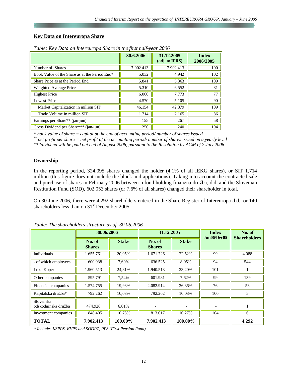#### **Key Data on Intereuropa Share**

|                                               | 30.6.2006 | 31.12.2005<br>(adj. to IFRS) | <b>Index</b><br>2006/2005 |
|-----------------------------------------------|-----------|------------------------------|---------------------------|
| Number of Shares                              | 7.902.413 | 7.902.413                    | 100                       |
| Book Value of the Share as at the Period End* | 5.032     | 4.942                        | 102                       |
| Share Price as at the Period End              | 5.841     | 5.363                        | 109                       |
| Weighted Average Price                        | 5.310     | 6.552                        | 81                        |
| <b>Highest Price</b>                          | 6.000     | 7.773                        | 77                        |
| <b>Lowest Price</b>                           | 4.570     | 5.105                        | 90                        |
| Market Capitalization in million SIT          | 46.154    | 42.379                       | 109                       |
| Trade Volume in million SIT                   | 1.714     | 2.165                        | 86                        |
| Earnings per Share** (jan-jun)                | 155       | 267                          | 58                        |
| Gross Dividend per Share*** (jan-jun)         | 250       | 240                          | 104                       |

*Table: Key Data on Intereuropa Share in the first half-year 2006* 

*\* book value of share = capital at the end of accounting period/ number of shares issued* 

\*\* net profit per share  $=$  net profit of the accounting period/number of shares issued on a yearly level

*\*\*\*dividend will be paid out end of August 2006, pursuant to the Resolution by AGM of 7 July 2006*

#### **Ownership**

In the reporting period, 324,095 shares changed the holder (4.1% of all IEKG shares), or SIT 1,714 million (this figure does not include the block and applications). Taking into account the contracted sale and purchase of shares in February 2006 between Infond holding finančna družba, d.d. and the Slovenian Restitution Fund (SOD), 602,053 shares (or 7.6% of all shares) changed their shareholder in total.

On 30 June 2006, there were 4,292 shareholders entered in the Share Register of Intereuropa d.d., or 140 shareholders less than on  $31<sup>st</sup>$  December 2005.

|                                  | 30.06.2006              |              | 31.12.2005              |              | <b>Index</b><br>Jun06/Dec05 | No. of              |
|----------------------------------|-------------------------|--------------|-------------------------|--------------|-----------------------------|---------------------|
|                                  | No. of<br><b>Shares</b> | <b>Stake</b> | No. of<br><b>Shares</b> | <b>Stake</b> |                             | <b>Shareholders</b> |
| Individuals                      | 1.655.761               | 20,95%       | 1.671.726               | 22,52%       | 99                          | 4.088               |
| - of which employees             | 600.938                 | 7,60%        | 636.525                 | 8,05%        | 94                          | 544                 |
| Luka Koper                       | 1.960.513               | 24,81%       | 1.940.513               | 23,20%       | 101                         |                     |
| Other companies                  | 595.791                 | 7,54%        | 601.981                 | 7,62%        | 99                          | 139                 |
| Financial companies              | 1.574.755               | 19,93%       | 2.082.914               | 26,36%       | 76                          | 53                  |
| Kapitalska družba*               | 792.262                 | 10,03%       | 792.262                 | 10,03%       | 100                         | 5                   |
| Slovenska<br>odškodninska družba | 474.926                 | 6,01%        |                         |              |                             |                     |
| Investment companies             | 848.405                 | 10,73%       | 813.017                 | 10,27%       | 104                         | 6                   |
| <b>TOTAL</b>                     | 7.902.413               | 100,00%      | 7.902.413               | 100,00%      |                             | 4.292               |

*Table: The shareholders structure as of 30.06.2006* 

*\* Includes KSPPS, KVPS and SODPZ, PPS (First Pension Fund)*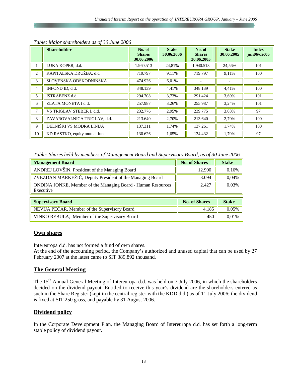|    | <b>Shareholder</b>            | No. of<br><b>Shares</b><br>30.06.2006 | <b>Stake</b><br>30.06.2006 | No. of<br><b>Shares</b><br>30.06.2005 | <b>Stake</b><br>30.06.2005 | <b>Index</b><br>jun06/dec05 |
|----|-------------------------------|---------------------------------------|----------------------------|---------------------------------------|----------------------------|-----------------------------|
|    | LUKA KOPER, d.d.              | 1.960.513                             | 24,81%                     | 1.940.513                             | 24,56%                     | 101                         |
| 2  | KAPITALSKA DRUŽBA, d.d.       | 719.797                               | 9,11%                      | 719.797                               | 9,11%                      | 100                         |
| 3  | SLOVENSKA ODŠKODNINSKA        | 474.926                               | 6,01%                      |                                       |                            |                             |
| 4  | INFOND ID, d.d.               | 348.139                               | 4,41%                      | 348.139                               | 4,41%                      | 100                         |
| 5  | ISTRABENZ d.d.                | 294.708                               | 3,73%                      | 291.424                               | 3,69%                      | 101                         |
| 6  | ZLATA MONETA I d.d.           | 257.987                               | 3,26%                      | 255.987                               | 3,24%                      | 101                         |
| 7  | VS TRIGLAV STEBER I, d.d.     | 232.776                               | 2,95%                      | 239.775                               | 3,03%                      | 97                          |
| 8  | ZAVAROVALNICA TRIGLAV. d.d.   | 213.640                               | 2,70%                      | 213.640                               | 2,70%                      | 100                         |
| 9  | DELNIŠKI VS MODRA LINIJA      | 137.311                               | 1,74%                      | 137.261                               | 1,74%                      | 100                         |
| 10 | KD RASTKO, equity mutual fund | 130.626                               | 1,65%                      | 134.432                               | 1,70%                      | 97                          |

*Table: Major shareholders as of 30 June 2006* 

*Table: Shares held by members of Management Board and Supervisory Board, as of 30 June 2006*

| <b>Management Board</b>                                                   | <b>No. of Shares</b> | <b>Stake</b> |
|---------------------------------------------------------------------------|----------------------|--------------|
| ANDREJ LOVŠIN, President of the Managing Board                            | 12.900               | 0,16%        |
| ZVEZDAN MARKEŽIČ, Deputy President of the Managing Board                  | 3.094                | 0,04%        |
| ONDINA JONKE, Member of the Managing Board - Human Resources<br>Executive | 2.427                | 0,03%        |
| <b>Supervisory Board</b>                                                  | <b>No. of Shares</b> | <b>Stake</b> |
| NEVIJA PEČAR, Member of the Supervisory Board                             | 4.185                | 0,05%        |
| VINKO REBULA, Member of the Supervisory Board                             | 450                  | 0,01%        |

#### **Own shares**

Intereuropa d.d. has not formed a fund of own shares.

At the end of the accounting period, the Company's authorized and unused capital that can be used by 27 February 2007 at the latest came to SIT 389,892 thousand.

#### **The General Meeting**

The 15<sup>th</sup> Annual General Meeting of Intereuropa d.d. was held on 7 July 2006, in which the shareholders decided on the dividend payout. Entitled to receive this year's dividend are the shareholders entered as such in the Share Register (kept in the central register with the KDD d.d.) as of 11 July 2006; the dividend is fixed at SIT 250 gross, and payable by 31 August 2006.

## **Dividend policy**

In the Corporate Development Plan, the Managing Board of Intereuropa d.d. has set forth a long-term stable policy of dividend payout.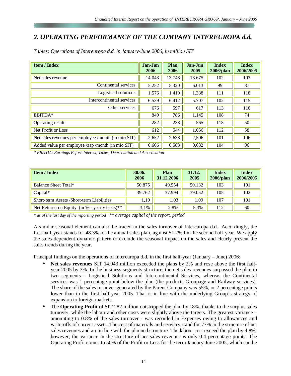# *2. OPERATING PERFORMANCE OF THE COMPANY INTEREUROPA d.d.*

| <b>Item / Index</b>                                 | Jan-Jun<br>2006 | Plan<br>2006 | Jan-Jun<br>2005 | <b>Index</b><br>$2006$ /plan | <b>Index</b><br>2006/2005 |
|-----------------------------------------------------|-----------------|--------------|-----------------|------------------------------|---------------------------|
| Net sales revenue                                   | 14.043          | 13.748       | 13.675          | 102                          | 103                       |
| Continental services                                | 5.252           | 5.320        | 6.013           | 99                           | 87                        |
| Logistical solutions                                | 1.576           | 1.419        | 1.338           | 111                          | 118                       |
| Intercontinental services                           | 6.539           | 6.412        | 5.707           | 102                          | 115                       |
| Other services                                      | 676             | 597          | 617             | 113                          | 110                       |
| EBITDA*                                             | 849             | 786          | 1.145           | 108                          | 74                        |
| Operating result                                    | 282             | 238          | 565             | 118                          | 50                        |
| Net Profit or Loss                                  | 612             | 544          | 1.056           | 112                          | 58                        |
| Net sales revenues per employee /month (in mio SIT) | 2,652           | 2,638        | 2,506           | 101                          | 106                       |
| Added value per employee /zap /month (in mio SIT)   | 0,606           | 0,583        | 0,632           | 104                          | 96                        |

*Tables: Operations of Intereuropa d.d. in January-June 2006, in million SIT* 

*\* EBITDA: Earnings Before Interest, Taxes, Depreciation and Amortisation*

| <b>Item / Index</b>                                         | 30.06.<br>2006 | Plan<br>31.12.2006 | 31.12.<br>2005 | <b>Index</b><br>$2006$ /plan | <b>Index</b><br>2006/2005 |
|-------------------------------------------------------------|----------------|--------------------|----------------|------------------------------|---------------------------|
| Balance Sheet Total*                                        | 50.875         | 49.554             | 50.132         | 103                          | 101                       |
| $Capital*$                                                  | 39.762         | 37.994             | 39.052         | 105                          | 102                       |
| Short-term Assets /Short-term Liabilities                   | 1,10           | 1.03               | 1.09           | 107                          | 101                       |
| Net Returen on Equity (in $%$ - yearly basis) <sup>**</sup> | 3.1%           | 2,8%               | 5.3%           | 112                          | 60                        |

*\* as of the last day of the reporting period \*\* average capital of the report. period*

A similar seasonal element can also be traced in the sales turnover of Intereuropa d.d. Accordingly, the first half-year stands for 48.3% of the annual sales plan, against 51.7% for the second half-year. We apply the sales-dependent dynamic pattern to exclude the seasonal impact on the sales and clearly present the sales trends during the year.

Principal findings on the operations of Intereuropa d.d. in the first half-year (January – June) 2006:

- **Net sales revenues** SIT 14,043 million exceeded the plans by 2% and rose above the first halfyear 2005 by 3%. In the business segments structure, the net sales revenues surpassed the plan in two segments - Logistical Solutions and Intercontinental Services, whereas the Continental services was 1 percentage point below the plan (the products Groupage and Railway services). The share of the sales turnover generated by the Parent Company was 55%, or 2 percentage points lower than in the first half-year 2005. That is in line with the underlying Group's strategy of expansion to foreign markets.
- The **Operating Profit** of SIT 282 million outstripped the plan by 18%, thanks to the surplus sales turnover, while the labour and other costs were slightly above the targets. The greatest variance – amounting to 0.8% of the sales turnover - was recorded in Expenses owing to allowances and write-offs of current assets. The cost of materials and services stand for 77% in the structure of net sales revenues and are in line with the planned structure. The labour cost exceed the plan by 4.8%, however, the variance in the structure of net sales revenues is only 0.4 percentage points. The Operating Profit comes to 50% of the Profit or Loss for the term January-June 2005, which can be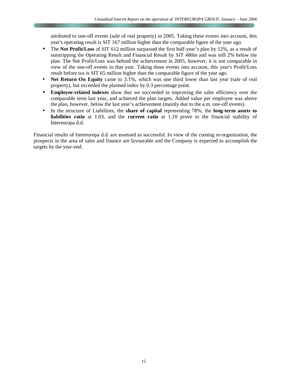attributed to one-off events (sale of real property) in 2005. Taking these events into account, this year's operating result is SIT 167 million higher than the comparable figure of the year ago.

- The **Net Profit/Loss** of SIT 612 million surpassed the first half-year's plan by 12%, as a result of outstripping the Operating Result and Financial Result by SIT 480m and was still 2% below the plan. The Net Profit/Loss was behind the achievement in 2005, however, it is not comparable in view of the one-off events in that year. Taking these events into account, this year's Profit/Loss result before tax is SIT 65 million higher than the comparable figure of the year ago.
- **Net Return On Equity** came to 3.1%, which was one third lower than last year (sale of real property), but exceeded the planned index by 0.3 percentage point.
- **Employee-related indexes** show that we succeeded in improving the sales efficiency over the comparable term last year, and achieved the plan targets. Added value per employee was above the plan, however, below the last year's achievement (mainly due to the a.m. one-off events).
- In the structure of Liabilities, the **share of capital** representing 78%, the **long-term assets to liabilities ratio** at 1.03, and the **current ratio** at 1.10 prove to the financial stability of Intereuropa d.d.

Financial results of Intereuropa d.d. are assessed as successful. In view of the coming re-organization, the prospects in the area of sales and finance are favourable and the Company is expected to accomplish the targets by the year-end.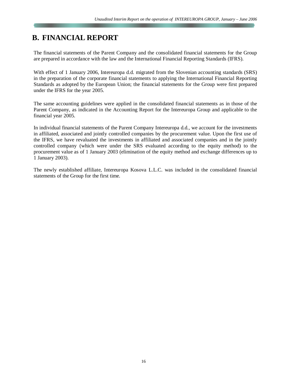# **B. FINANCIAL REPORT**

The financial statements of the Parent Company and the consolidated financial statements for the Group are prepared in accordance with the law and the International Financial Reporting Standards (IFRS).

With effect of 1 January 2006, Intereuropa d.d. migrated from the Slovenian accounting standards (SRS) in the preparation of the corporate financial statements to applying the International Financial Reporting Standards as adopted by the European Union; the financial statements for the Group were first prepared under the IFRS for the year 2005.

The same accounting guidelines were applied in the consolidated financial statements as in those of the Parent Company, as indicated in the Accounting Report for the Intereuropa Group and applicable to the financial year 2005.

In individual financial statements of the Parent Company Intereuropa d.d., we account for the investments in affiliated, associated and jointly controlled companies by the procurement value. Upon the first use of the IFRS, we have revaluated the investments in affiliated and associated companies and in the jointly controlled company (which were under the SRS evaluated according to the equity method) to the procurement value as of 1 January 2003 (elimination of the equity method and exchange differences up to 1 January 2003).

The newly established affiliate, Intereuropa Kosova L.L.C. was included in the consolidated financial statements of the Group for the first time.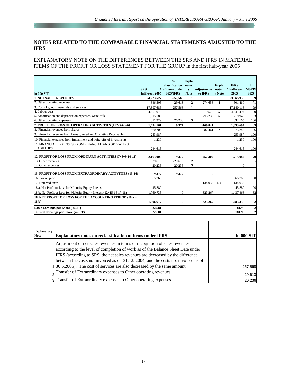#### **NOTES RELATED TO THE COMPARABLE FINANCIAL STATEMENTS ADJUSTED TO THE IFRS**

#### EXPLANATORY NOTE ON THE DIFFERENCES BETWEEN THE SRS AND IFRS IN MATERIAL ITEMS OF THE PROFIT OR LOSS STATEMENT FOR THE GROUP in the first half-year 2005

|                                                                           | <b>SRS</b>     | Re-<br>classification<br>1 of items under | <b>Expla</b><br>nator<br>$\mathbf{v}$ | <b>Adjustments</b> | <b>Expla</b><br>nator | <b>IFRS</b><br>1 half-year | T<br><b>MSRP</b> / |
|---------------------------------------------------------------------------|----------------|-------------------------------------------|---------------------------------------|--------------------|-----------------------|----------------------------|--------------------|
| in 000 SIT                                                                | half-year 2005 | <b>SRS/IFRS</b>                           | <b>Note</b>                           | to IFRS            | v Note                | 2005                       | <b>SRS</b>         |
| <b>1. NET SALES REVENUES</b>                                              | 24,223,527     | $-257,568$                                |                                       |                    |                       | 23,965,959                 | 99                 |
| 2. Other operating revenues                                               | 846,505        | 29,613                                    | 2                                     | $-274.658$         | 4                     | 601.460                    | 71                 |
| 3. Cost of goods, materials and services                                  | 17,397,686     | $-257,568$                                |                                       |                    |                       | 17,140,118                 | 99                 |
| 4. Labour cost                                                            | 4.551.073      |                                           |                                       | $-9.579$           | 5                     | 4.541.494                  | 100                |
| 5. Amortisation and depreciation expenses, write-offs                     | 1,315,183      |                                           |                                       | $-95,238$          | 6                     | 1,219,945                  | 93                 |
| 6. Other operating expenses                                               | 311,929        | 20,236                                    | 3                                     |                    |                       | 332,165                    | 106                |
| 7. PROFIT OR LOSS OF OPERATING ACTIVITIES (1+2-3-4-5-6)                   | 1,494,161      | 9,377                                     |                                       | $-169,841$         |                       | 1,333,697                  | 89                 |
| Financial revenues from shares                                            | 660,706        |                                           |                                       | $-287,461$         | $\overline{7}$        | 373,245                    | 56                 |
| 9. Financial revenues from loans granted and Operating Receivables        | 253,987        |                                           |                                       |                    |                       | 253,987                    | 100                |
| 10. Financial expenses from impairment and write-offs of investments      | 1.230          |                                           |                                       |                    |                       | 1.230                      | 100                |
| 11. FINANCIAL EXPENSES FROM FINANCIAL AND OPERATING<br><b>LIABILITIES</b> | 244,615        |                                           |                                       |                    |                       | 244,615                    | 100                |
| 12. PROFIT OR LOSS FROM ORDINARY ACTIVITIES (7+8+9-10-11)                 | 2,163,009      | 9,377                                     |                                       | $-457.302$         |                       | 1,715,084                  | 79                 |
| 13. Other revenues                                                        | 29.613         | $-29.613$                                 | $\overline{2}$                        |                    |                       | $\Omega$                   |                    |
| 14. Other expenses                                                        | 20,236         | $-20,236$                                 | 3                                     |                    |                       | $\Omega$                   |                    |
| 15. PROFIT OR LOSS FROM EXTRAORDINARY ACTIVITIES (15-16)                  | 9.377          | $-9,377$                                  |                                       | $\bf{0}$           |                       |                            |                    |
| 16. Tax on profit                                                         | 365,769        |                                           |                                       |                    |                       | 365,769                    | 100                |
| 17. Deferred taxes                                                        | $\Omega$       |                                           |                                       | $-134,035$         | 8,9                   | $-134,035$                 |                    |
| 18 a. Net Profit or Loss for Minority Equity Interest                     | 45,882         |                                           |                                       |                    |                       | 45,882                     | 100                |
| 18 b. Net Profit or Loss for Majority Equity Interest (12+15-16-17-18)    | 1,760,735      |                                           |                                       | $-323,267$         |                       | 1,437,468                  | 82                 |
| 18. NET PROFIT OR LOSS FOR THE ACCOUNTING PERIOD (18.a +<br>(18.b)        | 1,806,617      | 0                                         |                                       | $-323,267$         |                       | 1,483,350                  | 82                 |
| Basic Earnings per Share (in SIT)                                         | 222.81         |                                           |                                       |                    |                       | 181.90                     | 82                 |
| <b>Diluted Earnings per Share (in SIT)</b>                                | 222.81         |                                           |                                       |                    |                       | 181.90                     | 82                 |

| <b>Explanatory</b> |                                                                                                                                                                                                                                                                                                                                       |            |
|--------------------|---------------------------------------------------------------------------------------------------------------------------------------------------------------------------------------------------------------------------------------------------------------------------------------------------------------------------------------|------------|
| <b>Note</b>        | <b>Explanatory notes on reclassification of items under IFRS</b>                                                                                                                                                                                                                                                                      | in 000 SIT |
|                    | Adjustment of net sales revenues in terms of recognition of sales revenues<br>according to the level of completion of work as of the Balance Sheet Date under<br>IFRS (according to SRS, the net sales revenues are decreased by the difference<br>between the costs not invoiced as of 31.12. 2004, and the costs not invoiced as of |            |
|                    | $ 30.6.2005 $ . The cost of services are also decreased by the same amount.                                                                                                                                                                                                                                                           | 257,568    |
|                    | Transfer of Extraordinary expenses to Other operating revenues                                                                                                                                                                                                                                                                        | 29,613     |
|                    | 3 Transfer of Extraordinary expenses to Other operating expenses                                                                                                                                                                                                                                                                      | 20,236     |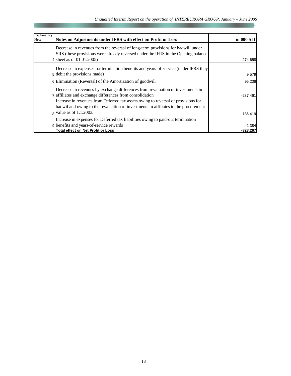| <b>Explanatory</b><br><b>Note</b> | Notes on Adjustments under IFRS with effect on Profit or Loss                                                                                                                                         | in 000 SIT |
|-----------------------------------|-------------------------------------------------------------------------------------------------------------------------------------------------------------------------------------------------------|------------|
|                                   | Decrease in revenues from the reversal of long-term provisions for badwill under<br>SRS (these provisions were already reversed under the IFRS in the Opening balance<br>4 sheet as of $01.01.2005$ ) | $-274,658$ |
|                                   | Decrease in expenses for termination benefits and years-of-service (under IFRS they<br>5 debit the provisions made)                                                                                   | 9,579      |
|                                   | 6 Elimination (Reversal) of the Amortization of goodwill                                                                                                                                              | 95,238     |
|                                   | Decrease in revenues by exchange differences from revaluation of investments in<br>7 affiliates and exchange differences from consolidation                                                           | $-287,461$ |
|                                   | Increase in revenues from Deferred tax assets owing to reversal of provisions for<br>badwil and owing to the revaluation of investments in affiliates to the procurement<br>$8$ value as of 1.1.2003. | 136,419    |
|                                   | Increase in expenses for Deferred tax liabilities owing to paid-out termination<br>9 benefits and years-of-service rewards                                                                            | $-2,384$   |
|                                   | <b>Total effect on Net Profit or Loss</b>                                                                                                                                                             | $-323,267$ |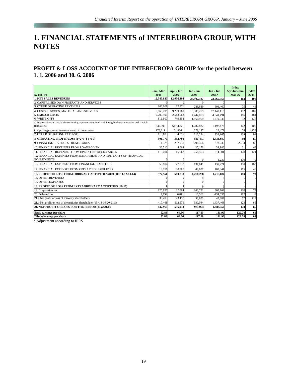# **1. FINANCIAL STATEMENTS of INTEREUROPA GROUP, WITH NOTES**

# **PROFIT & LOSS ACCOUNT OF THE INTEREUROPA GROUP for the period between 1. 1. 2006 and 30. 6. 2006**

|                                                                                                                             | Jan - Mar  | Apr - Jun  | Jan -Jun   | Jan - Jun  | <b>Index</b><br>Apr-Jun/Jan- | <b>Index</b> |
|-----------------------------------------------------------------------------------------------------------------------------|------------|------------|------------|------------|------------------------------|--------------|
| in 000 SIT                                                                                                                  | 2006       | 2006       | 2006       | 2005*      | <b>Mar 06</b>                | 06/05        |
| <b>1. NET SALES REVENUES</b>                                                                                                | 12,545,833 | 12,956,494 | 25.502.327 | 23,965,959 | 103                          | 106          |
| CAPITALISED OWN PRODUCTS AND SERVICES                                                                                       |            |            |            |            |                              |              |
| 3. OTHER OPERATING REVENUES                                                                                                 | 163,668    | 122,971    | 286,639    | 601,460    | 75                           | 48           |
| 4. COST OF GOODS, MATERIAL AND SERVICES                                                                                     | 9,069,299  | 9,239,960  | 18,309,259 | 17,140,118 | 102                          | 107          |
| <b>5. LABOUR COSTS</b>                                                                                                      | 2,200,991  | 2,543,062  | 4,744,053  | 4,541,494  | 116                          | 104          |
| 6. WRITE-OFFS                                                                                                               | 811,607    | 749,352    | 1,560,959  | 1,219,945  | 92                           | 128          |
| a) Depreciation and revaluation operating expenses associated with intangible long-term assets and tangible<br>fixed assets | 635,396    | 647.426    | 1.282.822  | 1.197.472  | 102                          | 107          |
| b) Operating expenses from revaluation of current assets                                                                    | 176.211    | 101.926    | 278,137    | 22,473     | 58                           | 1,238        |
| 7. OTHER OPERATING EXPENSES                                                                                                 | 118,833    | 194,391    | 313,224    | 332,165    | 164                          | 94           |
| 8. OPERATING PROFIT/LOSS (1+2+3-4-5-6-7)                                                                                    | 508,771    | 352,700    | 861,471    | 1,333,697  | 69                           | 65           |
| 9. FINANCIAL REVENUES FROM STAKES                                                                                           | 11.325     | 287,031    | 298,356    | 373,245    | 2,534                        | 80           |
| 10. FINANCIAL REVENUES FROM LOANS GIVEN                                                                                     | 22,512     | 4.664      | 27,176     | 39,986     | 21                           | 68           |
| 11. FINANCIAL REVENUES FROM OPERATING RECEIVABLES                                                                           | 113,496    | 145,067    | 258,563    | 214,001    | 128                          | 121          |
| 12. FINANCIAL EXPENSES FROM IMPAIRMENT AND WRITE OFFS OF FINANCIAL                                                          |            |            |            |            |                              |              |
| <b>INVESTMENTS</b>                                                                                                          |            |            |            | 1,230      | $-100$                       | $\Omega$     |
| 13. FINANCIAL EXPENSES FROM FINANCIAL LIABILITIES                                                                           | 59,804     | 77,837     | 137,641    | 137,274    | 130                          | 100          |
| 14. FINANCIAL EXPENSES FROM OPERATING LIABILITIES                                                                           | 18,750     | 30,887     | 49,637     | 107.341    | 165                          | 46           |
| 15. PROFIT OR LOSS FROM ORDINARY ACTIVITIES (8+9+10+11-12-13-14)                                                            | 577,550    | 680.738    | 1,258,288  | 1,715,084  | 118                          | 73           |
| <b>16. OTHER REVENUES</b>                                                                                                   |            |            |            |            |                              |              |
| 17. OTHER EXPENSES                                                                                                          |            |            |            |            |                              |              |
| 18. PROFIT OR LOSS FROM EXTRAORDINARY ACTIVITIES (16-17)                                                                    |            |            |            |            |                              |              |
| 19. Corporation tax                                                                                                         | 125,837    | 137,894    | 263,731    | 365,769    | 110                          | 72           |
| 20. Deferred tax                                                                                                            | 3,752      | 6,811      | 10,563     | $-134,035$ | 182                          | $-8$         |
| 21.a Net profit or loss of minority shareholders                                                                            | 30,493     | 23,457     | 53.950     | 45.882     | 77                           | 118          |
| 21.b Net profit or loss of the majority shareholder (15+18-19-20-21.a)                                                      | 417,468    | 512,576    | 930,044    | 1,437,468  | 123                          | 65           |
| 21. NET PROFIT OR LOSS FOR THE PERIOD (21.a+21.b)                                                                           | 447.961    | 536,033    | 983.994    | 1,483,350  | 120                          | 66           |
| <b>Basic earnings per share</b>                                                                                             | 52.83      | 64.86      | 117.69     | 181.90     | 122.78                       | 65           |
| Diluted ernings per share                                                                                                   | 52.83      | 64.86      | 117.69     | 181.90     | 122.78                       | 65           |

\* Adjustment according to IFRS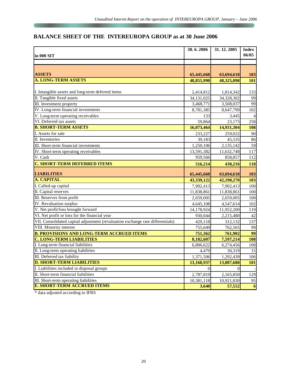# **BALANCE SHEET OF THE INTEREUROPA GROUP as at 30 June 2006**

|                                                                                | 30.6.2006  | 31, 12, 2005         | <b>Index</b>                  |
|--------------------------------------------------------------------------------|------------|----------------------|-------------------------------|
| in 000 SIT                                                                     |            |                      | 06/05                         |
|                                                                                |            |                      |                               |
|                                                                                |            |                      |                               |
| <b>ASSETS</b>                                                                  | 65,445,668 | 63,694,618           | 103                           |
| <b>A. LONG-TERM ASSETS</b>                                                     | 48,855,990 | 48,325,098           | 101                           |
|                                                                                |            |                      |                               |
| I. Intangible assets and long-term deferred items                              | 2,414,812  | 1,814,342            | 133                           |
| II. Tangible fixed assets                                                      | 34,131,025 | 34,328,302           | 99                            |
| III. Investment property                                                       | 3,468,771  | 3,508,037            | 99                            |
| IV. Long-term financial investments                                            | 8,781,385  | 8,647,799            | 102                           |
| V. Long-term operating receivables                                             | 133        | 3,445                |                               |
| VI. Deferred tax assets                                                        | 59.864     | 23,173               | 258                           |
| <b>B. SHORT-TERM ASSETS</b>                                                    | 16,073,464 | 14,931,304           | 108                           |
| I. Assets for sale                                                             | 233,227    | 259,022              | 90                            |
| II. Inventories                                                                | 39.183     | 45,535               | 86                            |
| III. Short-term financial investments                                          | 1,250,106  | 2,135,142            | 59                            |
| IV. Short-term operating receivables                                           | 13,591,382 | 11,632,748           | 117                           |
| V. Cash                                                                        | 959,566    | 858,857              | 112                           |
| <b>C. SHORT-TERM DEFERRED ITEMS</b>                                            | 516,214    | 438,216              | 118                           |
|                                                                                |            |                      |                               |
| <b>LIABILITIES</b>                                                             | 65,445,668 | 63,694,618           | 103                           |
| A. CAPITAL                                                                     | 43,339,122 | 42,190,270           | 103                           |
| I. Called-up capital                                                           | 7,902,413  | 7,902,413            | 100                           |
| II. Capital reserves                                                           | 11,838,861 | 11,838,861           | 100                           |
| III. Reserves from profit                                                      | 2,659,005  | 2,659,005            | 100                           |
| <b>IV.</b> Revaluation surplus                                                 | 4,645,108  | 4,547,614            | 102                           |
| V. Net profit/loss brought forward                                             | 14,178,924 | 11,952,200           | 119                           |
| VI. Net profit or loss for the financial year                                  | 930,044    | 2,215,480            | 42                            |
| VII. Consolidated capital adjustment (revaluation exchange rate differentials) | 429,118    | 312,132              | 137                           |
| VIII. Minority interest                                                        | 755.649    | 762,565              | 99                            |
| <b>B. PROVISIONS AND LONG-TERM ACCRUED ITEMS</b>                               | 751,362    | 761,902              | 99                            |
| <b>C. LONG-TERM LIABILITIES</b>                                                | 8,182,607  | 7,597,214            | 108                           |
| I. Long-term financial liabilities                                             | 6,806,622  | 6,274,456            | 108                           |
| II. Long-term operating liabilities                                            | 4,479      | 30,319               | 15                            |
| III. Deferred tax liability                                                    | 1,371,506  | 1,292,439            | 106                           |
| <b>D. SHORT-TERM LIABILITIES</b>                                               | 13,168,937 | 13,087,680           | 101                           |
| I. Liabilities included in disposal groups                                     | $\Omega$   | $\theta$             |                               |
| II. Short-term financial liabilities                                           | 2,787,819  | 2,165,850            | 129                           |
| III. Short-term operating liabilities<br><b>E. SHORT-TERM ACCRUED ITEMS</b>    | 10,381,118 | 10,921,830<br>57,552 | 95<br>$\overline{\mathbf{6}}$ |

\* data adjusted according to IFRS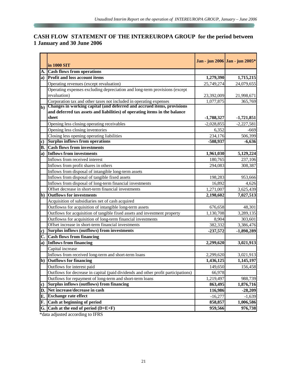# **CASH FLOW STATEMENT OF THE INTEREUROPA GROUP for the period between 1 January and 30 June 2006**

|    | in 1000 SIT                                                                                                                                     |              | Jan - jun 2006 Jan - jun 2005* |
|----|-------------------------------------------------------------------------------------------------------------------------------------------------|--------------|--------------------------------|
| A. | <b>Cash flows from operations</b>                                                                                                               |              |                                |
| a) | <b>Profit and loss account items</b>                                                                                                            | 1,279,390    | 1,715,215                      |
|    | Operating revenues (except revaluation)                                                                                                         | 25,749,274   | 24,079,655                     |
|    | Operating expenses excluding depreciation and long-term provisions (except                                                                      |              |                                |
|    | revaluation)                                                                                                                                    | 23,392,009   | 21,998,671                     |
|    | Corporation tax and other taxes not included in operating expenses<br>b) Changes in working capital (and deferred and accrued items, provisions | 1,077,875    | 365,769                        |
|    |                                                                                                                                                 |              |                                |
|    | and deferred tax assets and liabilities) of operating items in the balance                                                                      |              |                                |
|    | sheet                                                                                                                                           | $-1,788,327$ | $-1,721,851$                   |
|    | Opening less closing operating receivables                                                                                                      | $-2,028,855$ | $-2,227,581$                   |
|    | Opening less closing inventories                                                                                                                | 6,352        | $-669$                         |
|    | Closing less opening operating liabilities                                                                                                      | 234,176      | 506,399                        |
| c) | <b>Surplus inflows from operations</b>                                                                                                          | -508,937     | $-6,636$                       |
| В. | <b>Cash flows from investments</b>                                                                                                              |              |                                |
| a) | Inflows from investments                                                                                                                        | 1,961,030    | 5,129,224                      |
|    | Inflows from received interest                                                                                                                  | 180,765      | 237,106                        |
|    | Inflows from profit shares in others                                                                                                            | 294,083      | 308,387                        |
|    | Inflows from disposal of intangible long-term assets                                                                                            |              |                                |
|    | Inflows from disposal of tangible fixed assets                                                                                                  | 198,283      | 953,666                        |
|    | Inflows from disposal of long-term financial investments                                                                                        | 16,892       | 4,626                          |
|    | Offset decrease in short-term financial investments                                                                                             | 1,271,007    | 3,625,439                      |
| b) | <b>Outflows for investments</b>                                                                                                                 | 2,198,602    | 7,027,513                      |
|    | Acquisition of subsidiaries net of cash acquired                                                                                                |              |                                |
|    | Outflowss for acquisition of intangible long-term assets                                                                                        | 676,658      | 48,301                         |
|    | Outflows for acquisition of tangible fixed assets and investment property                                                                       | 1,130,708    | 3,289,135                      |
|    | Outflowss for acquisition of long-term financial investments                                                                                    | 8,904        | 303,601                        |
|    | Offset increase in short-term financial investments                                                                                             | 382,332      | 3,386,476                      |
| c) | Surplus inflows (outflows) from investments                                                                                                     | $-237,572$   | $-1,898,289$                   |
| C. | Cash flows from financing                                                                                                                       |              |                                |
| a) | Inflows from financing                                                                                                                          | 2,299,620    | 3,021,913                      |
|    | Capital increase                                                                                                                                |              |                                |
|    | Inflows from received long-term and short-term loans                                                                                            | 2,299,620    | 3,021,913                      |
| b) | <b>Outflows for financing</b>                                                                                                                   | 1,436,125    | 1,145,197                      |
|    | Outflows for interest paid                                                                                                                      | 149,650      | 156,458                        |
|    | Outflows for decrease in capital (paid dividends and other profit participations)                                                               | 66,978       |                                |
|    | Outflows for repayment of long-term and short-term loans                                                                                        | 1,219,497    | 988,739                        |
| c) | <b>Surplus inflows (outflows) from financing</b>                                                                                                | 863,495      | 1,876,716                      |
| D. | Net increase/decrease in cash                                                                                                                   | 116,986      | $-28,209$                      |
| Е. | <b>Exchange rate effect</b>                                                                                                                     | $-16,277$    | $-1,639$                       |
| F. | Cash at beginning of period                                                                                                                     | 858,857      | 1,006,586                      |
|    | G. Cash at the end of period $(D+E+F)$                                                                                                          | 959,566      | 976,738                        |

\*data adjusted according to IFRS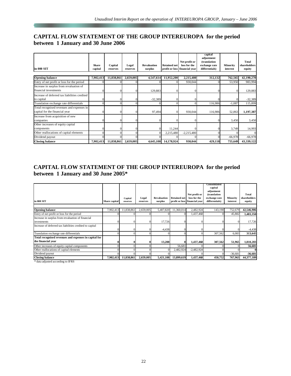# **CAPITAL FLOW STATEMENT OF THE GROUP INTEREUROPA for the period between 1 January and 30 June 2006**

|                                               |                         |                     |                   |                               |                     |                                                                | capital<br>adjustment                           |                      |                                 |
|-----------------------------------------------|-------------------------|---------------------|-------------------|-------------------------------|---------------------|----------------------------------------------------------------|-------------------------------------------------|----------------------|---------------------------------|
| in 000 SIT                                    | <b>Share</b><br>capital | Capital<br>reserves | Legal<br>reserves | <b>Revaluation</b><br>surplus | <b>Retained net</b> | Net profit or<br>loss for the<br>profit or loss financial year | (translation<br>exchange rate<br>differentials) | Minority<br>interest | Total<br>shareholders<br>equity |
| <b>Opening balance</b>                        | 7,902,413               | 11,838,861          | 2,659,005         | 4,547,614                     | 11,952,200          | 2,215,480                                                      | 312,132                                         | 762,565              | 42,190,270                      |
| Entry of net profit or loss for the period    |                         |                     |                   |                               |                     | 930,044                                                        |                                                 | 53,950               | 983,994                         |
| Increase in surplus from revaluation of       |                         |                     |                   |                               |                     |                                                                |                                                 |                      |                                 |
| financial investments                         |                         |                     |                   | 129,883                       |                     |                                                                |                                                 |                      | 129,883                         |
| Increase of deferred tax liabilities credited |                         |                     |                   |                               |                     |                                                                |                                                 |                      |                                 |
| to capital                                    |                         |                     |                   | $-32,389$                     |                     |                                                                |                                                 |                      | $-32,389$                       |
| Translation exchange rate differentials       |                         |                     |                   |                               |                     | $\Omega$                                                       | 116,986                                         | $-1,087$             | 115,899                         |
| Total recognised revenues and expenses in     |                         |                     |                   |                               |                     |                                                                |                                                 |                      |                                 |
| capital for the financial year                |                         |                     |                   | 97,494                        |                     | 930,044                                                        | 116,986                                         | 52,863               | 1,197,387                       |
| Increase from acquisition of new              |                         |                     |                   |                               |                     |                                                                |                                                 |                      |                                 |
| companies                                     |                         |                     |                   |                               |                     |                                                                |                                                 | 3,450                | 3,450                           |
| Other increases of equity capital             |                         |                     |                   |                               |                     |                                                                |                                                 |                      |                                 |
| components                                    |                         |                     |                   |                               | 11,244              |                                                                |                                                 | 3,749                | 14,993                          |
| Other reallocations of capital elements       |                         |                     | $\theta$          |                               | 2,215,480           | $-2,215,480$                                                   |                                                 |                      |                                 |
| Dividend payout                               |                         |                     |                   |                               |                     |                                                                |                                                 | $-66,978$            | $-66,978$                       |
| <b>Closing balance</b>                        | 7,902,413               | 11,838,861          | 2,659,005         | 4,645,108                     | 14,178,924          | 930,044                                                        | 429,118                                         | 755,649              | 43,339,122                      |

## **CAPITAL FLOW STATEMENT OF THE GROUP INTEREUROPA for the period between 1 January and 30 June 2005\***

| in 000 SIT                                               | Share capital | Capital<br>reserves | Legal<br>reserves | <b>Revaluation</b><br>surplus | <b>Retained net</b> | Net profit or<br>loss for the<br>profit or loss financial year | Consolidated<br>capital<br>adjustment<br>(translation<br>exchange rate<br>differentials) | Minority<br>interest | Total<br>shareholders<br>equity |
|----------------------------------------------------------|---------------|---------------------|-------------------|-------------------------------|---------------------|----------------------------------------------------------------|------------------------------------------------------------------------------------------|----------------------|---------------------------------|
|                                                          |               |                     |                   |                               |                     |                                                                |                                                                                          |                      |                                 |
| <b>Opening balance</b>                                   | 7,902,413     | 11,838,861          | 2,659,005         | 5,407,820                     | 11,360,014          | 2,482,924                                                      | 143,190                                                                                  | 752,679              | 42,546,906                      |
| Entry of net profit or loss for the period               |               |                     |                   |                               |                     | 1,437,468                                                      |                                                                                          | 45,882               | 1,483,350                       |
| Increase in surplus from revaluation of financial        |               |                     |                   |                               |                     |                                                                |                                                                                          |                      |                                 |
| investments                                              |               |                     |                   | 17,726                        |                     |                                                                |                                                                                          | $\Omega$             | 17,726                          |
| Increase of deferred tax liabilities credited to capital |               |                     |                   |                               |                     |                                                                |                                                                                          |                      |                                 |
|                                                          |               |                     |                   | $-4,438$                      |                     |                                                                |                                                                                          |                      | -4,438                          |
| Translation exchange rate differentials                  |               |                     |                   |                               |                     |                                                                | 307,562                                                                                  | 6,083                | 313,645                         |
| Total recognised revenues and expenses in capital for    |               |                     |                   |                               |                     |                                                                |                                                                                          |                      |                                 |
| the financial year                                       |               |                     |                   | 13,288                        |                     | 1,437,468                                                      | 307,562                                                                                  | 51,965               | 1,810,283                       |
| Other increases of equity capital components             |               |                     |                   |                               | 56,681              |                                                                |                                                                                          |                      | 56,681                          |
| Other reallocations of capital elements                  |               |                     |                   |                               | 2,482,924           | $-2,482,924$                                                   |                                                                                          |                      |                                 |
| Dividend payout                                          |               |                     |                   |                               |                     |                                                                |                                                                                          | $-36,681$            | $-36,681$                       |
| <b>Closing balance</b>                                   | 7,902,413     | 11,838,861          | 2,659,005         | 5,421,108                     | 13,899,619          | 1,437,468                                                      | 450,752                                                                                  | 767,963              | 44,377,189                      |

\* data adjusted according to IFRS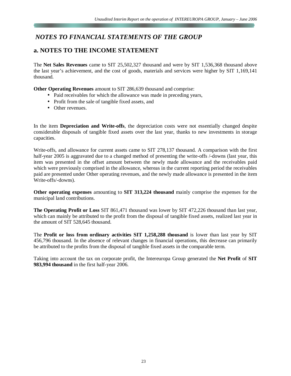# *NOTES TO FINANCIAL STATEMENTS OF THE GROUP*

# **a. NOTES TO THE INCOME STATEMENT**

The **Net Sales Revenues** came to SIT 25,502,327 thousand and were by SIT 1,536,368 thousand above the last year's achievement, and the cost of goods, materials and services were higher by SIT 1,169,141 thousand.

**Other Operating Revenues** amount to SIT 286,639 thousand and comprise:

- Paid receivables for which the allowance was made in preceding years,
- Profit from the sale of tangible fixed assets, and
- Other revenues.

In the item **Depreciation and Write-offs**, the depreciation costs were not essentially changed despite considerable disposals of tangible fixed assets over the last year, thanks to new investments in storage capacities.

Write-offs, and allowance for current assets came to SIT 278,137 thousand. A comparison with the first half-year 2005 is aggravated due to a changed method of presenting the write-offs /-downs (last year, this item was presented in the offset amount between the newly made allowance and the receivables paid which were previously comprised in the allowance, whereas in the current reporting period the receivables paid are presented under Other operating revenues, and the newly made allowance is presented in the item Write-offs/-downs).

**Other operating expenses** amounting to **SIT 313,224 thousand** mainly comprise the expenses for the municipal land contributions.

**The Operating Profit or Loss** SIT 861,471 thousand was lower by SIT 472,226 thousand than last year, which can mainly be attributed to the profit from the disposal of tangible fixed assets, realized last year in the amount of SIT 528,645 thousand.

The **Profit or loss from ordinary activities SIT 1,258,288 thousand** is lower than last year by SIT 456,796 thousand. In the absence of relevant changes in financial operations, this decrease can primarily be attributed to the profits from the disposal of tangible fixed assets in the comparable term.

Taking into account the tax on corporate profit, the Intereuropa Group generated the **Net Profit** of **SIT 983,994 thousand** in the first half-year 2006.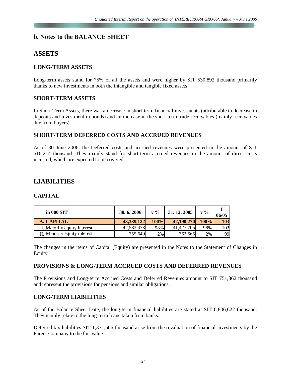## **b. Notes to the BALANCE SHEET**

# **ASSETS**

#### **LONG-TERM ASSETS**

Long-term assets stand for 75% of all the assets and were higher by SIT 530,892 thousand primarily thanks to new investments in both the intangible and tangible fixed assets.

#### **SHORT-TERM ASSETS**

In Short-Term Assets, there was a decrease in short-term financial investments (attributable to decrease in deposits and investment in bonds) and an increase in the short-term trade receivables (mainly receivables due from buyers).

#### **SHORT-TERM DEFERRED COSTS AND ACCRUED REVENUES**

As of 30 June 2006, the Deferred costs and accrued revenues were presented in the amount of SIT 516,214 thousand. They mainly stand for short-term accrued revenues in the amount of direct costs incurred, which are expected to be covered.

# **LIABILITIES**

#### **CAPITAL**

| in 000 SIT                       | 30.6.2006  | $\mathbf{v} \mathbf{0}$ | 31, 12, 2005 | $V\%$ | 06/05      |
|----------------------------------|------------|-------------------------|--------------|-------|------------|
| <b>A. CAPITAL</b>                | 43,339,122 | 100%                    | 42,190,270   | 100%  | <b>103</b> |
| I. Majority equity interest      | 42,583,473 | 98%                     | 41,427,705   | 98%   | 103        |
| $\prod$ Minority equity interest | 755,649    | $2\%$                   | 762,565      | 2%    | 99         |

The changes in the items of Capital (Equity) are presented in the Notes to the Statement of Changes in Equity.

#### **PROVISIONS & LONG-TERM ACCRUED COSTS AND DEFERRED REVENUES**

The Provisions and Long-term Accrued Costs and Deferred Revenues amount to SIT 751,362 thousand and represent the provisions for pensions and similar obligations.

#### **LONG-TERM LIABILITIES**

As of the Balance Sheet Date, the long-term financial liabilities are stated at SIT 6,806,622 thousand. They mainly relate to the long-term loans taken from banks.

Deferred tax liabilities SIT 1,371,506 thousand arise from the revaluation of financial investments by the Parent Company to the fair value.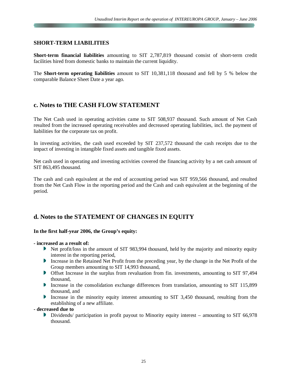#### **SHORT-TERM LIABILITIES**

**Short-term financial liabilities** amounting to SIT 2,787,819 thousand consist of short-term credit facilities hired from domestic banks to maintain the current liquidity.

The **Short-term operating liabilities** amount to SIT 10,381,118 thousand and fell by 5 % below the comparable Balance Sheet Date a year ago.

## **c. Notes to THE CASH FLOW STATEMENT**

The Net Cash used in operating activities came to SIT 508,937 thousand. Such amount of Net Cash resulted from the increased operating receivables and decreased operating liabilities, incl. the payment of liabilities for the corporate tax on profit.

In investing activities, the cash used exceeded by SIT 237,572 thousand the cash receipts due to the impact of investing in intangible fixed assets and tangible fixed assets.

Net cash used in operating and investing activities covered the financing activity by a net cash amount of SIT 863,495 thousand.

The cash and cash equivalent at the end of accounting period was SIT 959,566 thousand, and resulted from the Net Cash Flow in the reporting period and the Cash and cash equivalent at the beginning of the period.

## **d. Notes to the STATEMENT OF CHANGES IN EQUITY**

#### **In the first half-year 2006, the Group's equity:**

#### **- increased as a result of:**

- Net profit/loss in the amount of SIT 983,994 thousand, held by the majority and minority equity interest in the reporting period,
- Increase in the Retained Net Profit from the preceding year, by the change in the Net Profit of the Group members amounting to SIT 14,993 thousand,
- Offset Increase in the surplus from revaluation from fin. investments, amounting to SIT 97,494 thousand,
- Increase in the consolidation exchange differences from translation, amounting to SIT 115,899 thousand, and
- Increase in the minority equity interest amounting to SIT 3,450 thousand, resulting from the establishing of a new affiliate.

#### **- decreased due to**

Dividends/ participation in profit payout to Minority equity interest – amounting to SIT 66,978 thousand.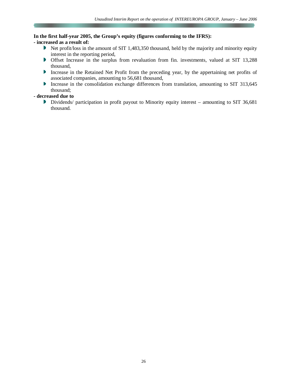#### **In the first half-year 2005, the Group's equity (figures conforming to the IFRS):**

#### **- increased as a result of:**

- Net profit/loss in the amount of SIT 1,483,350 thousand, held by the majority and minority equity interest in the reporting period,
- Offset Increase in the surplus from revaluation from fin. investments, valued at SIT 13,288 thousand,
- **Increase in the Retained Net Profit from the preceding year, by the appertaining net profits of** associated companies, amounting to 56,681 thousand,
- Increase in the consolidation exchange differences from translation, amounting to SIT 313,645 thousand;

#### **- decreased due to**

Dividends/ participation in profit payout to Minority equity interest – amounting to SIT 36,681 thousand.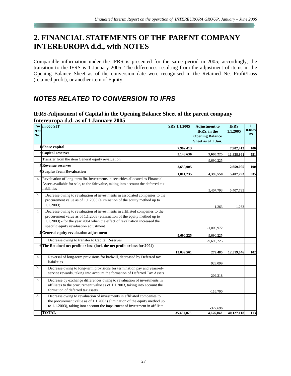# **2. FINANCIAL STATEMENTS OF THE PARENT COMPANY INTEREUROPA d.d., with NOTES**

Comparable information under the IFRS is presented for the same period in 2005; accordingly, the transition to the IFRS is 1 January 2005. The differences resulting from the adjustment of items in the Opening Balance Sheet as of the conversion date were recognised in the Retained Net Profit/Loss (retained profit), or another item of Equity.

# *NOTES RELATED TO CONVERSION TO IFRS*

#### **IFRS-Adjustment of Capital in the Opening Balance Sheet of the parent company Intereuropa d.d. as of 1 January 2005**

| rent<br>No: | Curlin 000 SIT                                                                                                                                                                                                                                                                  | SRS 1.1.2005 | <b>Adjustment</b> to<br>IFRS, in the<br><b>Opening Balance</b><br>Sheet as of 1 Jan. | <b>IFRS</b><br>1.1.2005 | $\bf{I}$<br><b>IFRS/S</b><br>RS |
|-------------|---------------------------------------------------------------------------------------------------------------------------------------------------------------------------------------------------------------------------------------------------------------------------------|--------------|--------------------------------------------------------------------------------------|-------------------------|---------------------------------|
|             | Share capital                                                                                                                                                                                                                                                                   | 7,902,413    |                                                                                      | 7,902,413               | 100                             |
|             | Capital reserves                                                                                                                                                                                                                                                                | 2,148,636    | 9,690,225                                                                            | 11,838,861              | 551                             |
|             | Transfer from the item General equity revaluation                                                                                                                                                                                                                               |              | 9,690,225                                                                            |                         |                                 |
|             | <b>3 Revenue reserves</b>                                                                                                                                                                                                                                                       | 2,659,005    |                                                                                      | 2,659,005               | 100                             |
|             | 4 Surplus from Revaluation                                                                                                                                                                                                                                                      | 1,011,235    | 4,396,558                                                                            | 5,407,793               | 535                             |
| a.          | Revaluation of long-term fin. investments in securities allocated as Financial<br>Assets available for sale, to the fair value, taking into account the deferred tax<br>liabilities                                                                                             |              | 5,407,793                                                                            | 5,407,793               |                                 |
| b.          | Decrease owing to revaluation of investments in associated companies to the<br>procurement value as of 1.1.2003 (elimination of the equity method up to<br>1.1.2003                                                                                                             |              | $-1,263$                                                                             | $-1,263$                |                                 |
| c.          | Decrease owing to revaluation of investments in affiliated companies to the<br>procurement value as of 1.1.2003 (elimination of the equity method up to<br>1.1.2003) - for the year 2004 when the effect of revaluation increased the<br>specific equity revaluation adjustment |              | $-1,009,972$                                                                         |                         |                                 |
|             | 5 General equity revaluation adjustment                                                                                                                                                                                                                                         | 9,690,225    | $-9,690,225$                                                                         |                         |                                 |
|             | Decrease owing to transfer to Capital Reserves                                                                                                                                                                                                                                  |              | $-9,690,225$                                                                         |                         |                                 |
|             | 6 The Retained net profit or loss (incl. the net profit or loss for 2004)                                                                                                                                                                                                       | 12,039,561   | 279,485                                                                              | 12,319,046              | 102                             |
| a.          | Reversal of long-term provisions for badwill, decreased by Deferred tax<br>liabilities                                                                                                                                                                                          |              | 928,099                                                                              |                         |                                 |
| b.          | Decrease owing to long-term provisions for termination pay and years-of-<br>service rewards, taking into account the formation of Deferred Tax Assets                                                                                                                           |              | $-209,218$                                                                           |                         |                                 |
| c.          | Decrease by exchange differences owing to revaluation of investments in<br>affiliates to the procurement value as of 1.1.2003, taking into account the<br>formation of deferred tax assets                                                                                      |              | $-116,700$                                                                           |                         |                                 |
| d.          | Decrease owing to revaluation of investments in affiliated companies to<br>the procurement value as of 1.1.2003 (elimination of the equity method up<br>to 1.1.2003), taking into account the impairment of investment in affiliate                                             |              | $-322,696$                                                                           |                         |                                 |
|             | <b>TOTAL</b>                                                                                                                                                                                                                                                                    | 35,451,075   | 4,676,043                                                                            | 40,127,118              | 113                             |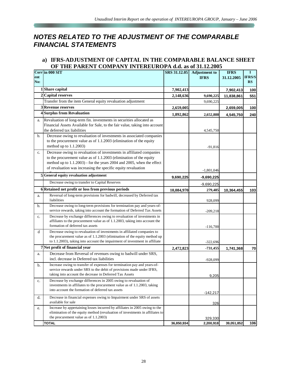# *NOTES RELATED TO THE ADJUSTMENT OF THE COMPARABLE FINANCIAL STATEMENTS*

#### **a) IFRS-ADJUSTMENT OF CAPITAL IN THE COMPARABLE BALANCE SHEET OF THE PARENT COMPANY INTEREUROPA d.d. as of 31.12.2005**

|            | Curr in 000 SIT                                                                                                                                                                                                                                                                      | SRS 31.12.05 | <b>Adjustment</b> to | <b>IFRS</b> | $\mathbf I$         |
|------------|--------------------------------------------------------------------------------------------------------------------------------------------------------------------------------------------------------------------------------------------------------------------------------------|--------------|----------------------|-------------|---------------------|
| ent<br>No: |                                                                                                                                                                                                                                                                                      |              | <b>IFRS</b>          | 31.12.2005  | <b>IFRS/S</b><br>RS |
|            | <b>Share capital</b>                                                                                                                                                                                                                                                                 | 7,902,413    |                      | 7,902,413   | 100                 |
| 2          | <b>Capital reserves</b>                                                                                                                                                                                                                                                              | 2,148,636    | 9,690,225            | 11,838,861  | 551                 |
|            | Transfer from the item General equity revaluation adjustment                                                                                                                                                                                                                         |              | 9,690,225            |             |                     |
|            | <b>Revenue reserves</b>                                                                                                                                                                                                                                                              | 2,659,005    |                      | 2,659,005   | 100                 |
|            | 4 Surplus from Revaluation                                                                                                                                                                                                                                                           | 1,892,862    | 2,652,888            | 4,545,750   | 240                 |
| a.         | Revaluation of long-term fin. investments in securities allocated as<br>Financial Assets Available for Sale, to the fair value, taking into account<br>the deferred tax liabilities                                                                                                  |              | 4,545,750            |             |                     |
| b.         | Decrease owing to revaluation of investments in associated companies<br>to the procurement value as of 1.1.2003 (elimination of the equity<br>method up to 1.1.2003)                                                                                                                 |              | $-91,816$            |             |                     |
| c.         | Decrease owing to revaluation of investments in affiliated companies<br>to the procurement value as of 1.1.2003 (elimination of the equity<br>method up to 1.1.2003) - for the years 2004 and 2005, when the effect<br>of revaluation was increasing the specific equity revaluation |              | $-1,801,046$         |             |                     |
| 5          | General equity revaluation adjustment                                                                                                                                                                                                                                                | 9,690,225    | $-9,690,225$         |             |                     |
|            | Decrease owing to transfer to Capital Reserves                                                                                                                                                                                                                                       |              | $-9,690,225$         |             |                     |
|            | 6 Retained net profit or loss from previous periods                                                                                                                                                                                                                                  | 10,084,970   | 279,485              | 10,364,455  | 103                 |
| a.         | Reversal of long-term provisions for badwill, decreased by Deferred tax<br>liabilities                                                                                                                                                                                               |              | 928,099              |             |                     |
| b.         | Decrease owing to long-term provisions for termination pay and years-of-<br>service rewards, taking into account the formation of Deferred Tax Assets                                                                                                                                |              | $-209,218$           |             |                     |
| c.         | Decrease by exchange differences owing to revaluation of investments in<br>affiliates to the procurement value as of 1.1.2003, taking into account the<br>formation of deferred tax assets                                                                                           |              | $-116,700$           |             |                     |
| d          | Decrease owing to revaluation of investments in affiliated companies to<br>the procurement value as of 1.1.2003 (elimination of the equity method up<br>to 1.1.2003), taking into account the impairment of investment in affiliate                                                  |              | $-322,696$           |             |                     |
|            | 7 Net profit of financial year                                                                                                                                                                                                                                                       | 2,472,823    | $-731,455$           | 1,741,368   | 70                  |
| a.         | Decrease from Reversal of revenues owing to badwill under SRS,<br>incl. decrease in Deferred tax liabilities                                                                                                                                                                         |              | $-928,099$           |             |                     |
| b.         | Increase owing to transfer of expenses for termination pay and years-of-<br>service rewards under SRS to the debit of provisions made under IFRS,<br>taking into account the decrease in Deferred Tax Assets                                                                         |              | 9,205                |             |                     |
| c.         | Decrease by exchange differences in 2005 owing to revaluation of<br>investments in affiliates to the procurement value as of 1.1.2003, taking<br>into account the formation of deferred tax assets                                                                                   |              | $-142,217$           |             |                     |
| d.         | Decrease in financial expenses owing to Impairment under SRS of assets<br>available for sale                                                                                                                                                                                         |              | 326                  |             |                     |
| e.         | Increase by appertaining losses incurred by affiliates in 2005 owing to the<br>elimination of the equity method (revaluation of investments in affiliates to<br>the procurement value as of $1.1.2003$ )                                                                             |              | 329,330              |             |                     |
|            | <b>TOTAL</b>                                                                                                                                                                                                                                                                         | 36,850,934   | 2,200,918            | 39,051,852  | 106                 |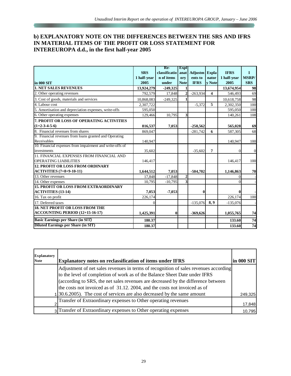# **b) EXPLANATORY NOTE ON THE DIFFERENCES BETWEEN THE SRS AND IFRS IN MATERIAL ITEMS OF THE PROFIT OR LOSS STATEMENT FOR INTEREUROPA d.d., in the first half-year 2005**

|                                                          |             | -Re           | $\mathbf{Expl}$         |                |                         |             |                  |
|----------------------------------------------------------|-------------|---------------|-------------------------|----------------|-------------------------|-------------|------------------|
|                                                          | <b>SRS</b>  | classificatio |                         | anat   Adjustm | <b>Expla</b>            | <b>IFRS</b> | L                |
|                                                          | 1 half-year | n of items    | ory                     | ents to        | nator                   | 1 half-year | <b>MSRP/</b>     |
| in 000 SIT                                               | 2005        | under         | <b>Note</b>             | <b>IFRS</b>    | <b>v</b> Note           | 2005        | <b>SRS</b>       |
| <b>1. NET SALES REVENUES</b>                             | 13,924,279  | $-249,325$    | 11                      |                |                         | 13,674,954  | 98               |
| 2. Other operating revenues                              | 792,579     | 17,848        | $\overline{2}$          | $-263,934$     | $\overline{\mathbf{4}}$ | 546,493     | 69               |
| 3. Cost of goods, materials and services                 | 10,868,083  | $-249,325$    |                         |                |                         | 10,618,758  | 98               |
| 4. Labour cost                                           | 2,307,722   |               |                         | $-5,372$       | 5                       | 2,302,350   | 100              |
| 5. Amortisation and depreciation expenses, write-offs    | 595,050     |               |                         |                |                         | 595,050     | 100              |
| 6. Other operating expenses                              | 129,466     | 10,795        | $\overline{\mathbf{3}}$ |                |                         | 140,261     | 108              |
| 7. PROFIT OR LOSS OF OPERATING ACTIVITIES                |             |               |                         |                |                         |             |                  |
| $(1+2-3-4-5-6)$                                          | 816,537     | 7,053         |                         | $-258,562$     |                         | 565,028     | 69               |
| 8. Financial revenues from shares                        | 869,047     |               |                         | $-281,742$     | 6                       | 587,305     | 68               |
| 9. Financial revenues from loans granted and Operating   |             |               |                         |                |                         |             |                  |
| Receivables                                              | 140,947     |               |                         |                |                         | 140,947     | 100              |
| 10. Financial expenses from impairment and write-offs of |             |               |                         |                |                         |             |                  |
| investments                                              | 35,602      |               |                         | $-35,602$      | 7                       |             | $\boldsymbol{0}$ |
| 11. FINANCIAL EXPENSES FROM FINANCIAL AND                |             |               |                         |                |                         |             |                  |
| <b>OPERATING LIABILITIES</b>                             | 146,417     |               |                         |                |                         | 146,417     | 100              |
| <b>12. PROFIT OR LOSS FROM ORDINARY</b>                  |             |               |                         |                |                         |             |                  |
| <b>ACTIVITIES</b> (7+8+9-10-11)                          | 1,644,512   | 7,053         |                         | $-504,702$     |                         | 1,146,863   | 70               |
| 13. Other revenues                                       | 17,848      | $-17,848$     | $\overline{2}$          |                |                         |             |                  |
| 14. Other expenses                                       | 10,795      | $-10,795$     | 3 <sup>l</sup>          |                |                         |             |                  |
| <b>15. PROFIT OR LOSS FROM EXTRAORDINARY</b>             |             |               |                         |                |                         |             |                  |
| <b>ACTIVITIES (13-14)</b>                                | 7,053       | $-7,053$      |                         | $\bf{0}$       |                         |             |                  |
| 16. Tax on profit                                        | 226,174     |               |                         |                |                         | 226,174     | 100              |
| 17. Deferred taxes                                       | $\Omega$    |               |                         | $-135,076$     | 8,9                     | $-135,076$  |                  |
| <b>18. NET PROFIT OR LOSS FROM THE</b>                   |             |               |                         |                |                         |             |                  |
| ACCOUNTING PERIOD (12+15-16-17)                          | 1,425,391   | $\bf{0}$      |                         | $-369,626$     |                         | 1,055,765   | 74               |
| <b>Basic Earnings per Share (in SIT)</b>                 | 180.37      |               |                         |                |                         | 133.60      | 74               |
| <b>Diluted Earnings per Share (in SIT)</b>               | 180.37      |               |                         |                |                         | 133.60      | 74               |

| <b>Explanatory</b><br><b>Note</b> | <b>Explanatory notes on reclassification of items under IFRS</b>                                                                                                                                                                                                                                                                      | in 000 SIT |
|-----------------------------------|---------------------------------------------------------------------------------------------------------------------------------------------------------------------------------------------------------------------------------------------------------------------------------------------------------------------------------------|------------|
|                                   | Adjustment of net sales revenues in terms of recognition of sales revenues according<br>to the level of completion of work as of the Balance Sheet Date under IFRS<br>(according to SRS, the net sales revenues are decreased by the difference between<br>the costs not invoiced as of 31.12. 2004, and the costs not invoiced as of |            |
|                                   | [30.6.2005]. The cost of services are also decreased by the same amount                                                                                                                                                                                                                                                               | 249,325    |
|                                   | Transfer of Extraordinary expenses to Other operating revenues                                                                                                                                                                                                                                                                        | 17,848     |
|                                   | 3 Transfer of Extraordinary expenses to Other operating expenses                                                                                                                                                                                                                                                                      | 10,795     |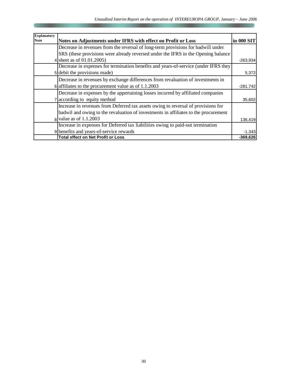| <b>Explanatory</b> |                                                                                     |            |
|--------------------|-------------------------------------------------------------------------------------|------------|
| Note               | Notes on Adjustments under IFRS with effect on Profit or Loss                       | in 000 SIT |
|                    | Decrease in revenues from the reversal of long-term provisions for badwill under    |            |
|                    | SRS (these provisions were already reversed under the IFRS in the Opening balance   |            |
|                    | 4 sheet as of 01.01.2005)                                                           | $-263,934$ |
|                    | Decrease in expenses for termination benefits and years-of-service (under IFRS they |            |
|                    | 5 debit the provisions made)                                                        | 5,372      |
|                    | Decrease in revenues by exchange differences from revaluation of investments in     |            |
|                    | $\delta$ affiliates to the procurement value as of 1.1.2003                         | $-281,742$ |
|                    | Decrease in expenses by the appertaining losses incurred by affiliated companies    |            |
|                    | according to equity method                                                          | 35,602     |
|                    | Increase in revenues from Deferred tax assets owing to reversal of provisions for   |            |
|                    | badwil and owing to the revaluation of investments in affiliates to the procurement |            |
|                    | $8$ value as of 1.1.2003                                                            | 136,419    |
|                    | Increase in expenses for Deferred tax liabilities owing to paid-out termination     |            |
|                    | 9 benefits and years-of-service rewards                                             | $-1,343$   |
|                    | <b>Total effect on Net Profit or Loss</b>                                           | $-369,626$ |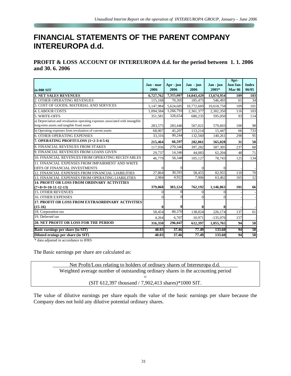# **FINANCIAL STATEMENTS OF THE PARENT COMPANY INTEREUROPA d.d.**

**PROFIT & LOSS ACCOUNT OF INTEREUROPA d.d. for the period between 1. 1. 2006 and 30. 6. 2006** 

| in 000 SIT                                                                                                                  | Jan - mar<br>2006 | Apr - jun<br>2006 | Jan - jun<br>2006 | Jan - jun<br>2005* | Apr-<br>Jun/Jan-<br><b>Mar 06</b> | <b>Index</b><br>06/05 |
|-----------------------------------------------------------------------------------------------------------------------------|-------------------|-------------------|-------------------|--------------------|-----------------------------------|-----------------------|
| <b>1. NET SALES REVENUES</b>                                                                                                | 6,727,762         | 7,315,667         | 14,043,429        | 13,674,954         | 109                               | 103                   |
| OTHER OPERATING REVENUES                                                                                                    | 115,168           | 70,305            | 185,473           | 546,493            | 61                                | 34                    |
| 3. COST OF GOODS, MATERIAL AND SERVICES                                                                                     | 5,147,984         | 5,624,685         | 10,772,669        | 10,618,758         | 109                               | 101                   |
| <b>4. LABOUR COSTS</b>                                                                                                      | 1,094,584         | 1,266,793         | 2,361,377         | 2,302,350          | 116                               | 103                   |
| 5. WRITE-OFFS                                                                                                               | 351,581           | 328,654           | 680,235           | 595,050            | 93                                | 114                   |
| a) Depreciation and revaluation operating expenses associated with intangible<br>long-term assets and tangible fixed assets | 283,575           | 283,446           | 567,021           | 579,603            | 100                               | 98                    |
| b) Operating expenses from revaluation of current assets                                                                    | 68,007            | 45,207            | 113,214           | 15,447             | 66                                | 733                   |
| <b>6. OTHER OPERATING EXPENSES</b>                                                                                          | 33,316            | 99,244            | 132,560           | 140,261            | 298                               | 95                    |
| 7. OPERATING PROFIT/LOSS (1+2-3-4-5-6)                                                                                      | 215,464           | 66,597            | 282,061           | 565,028            | 31                                | 50                    |
| <b>8. FINANCIAL REVENUES FROM STAKES</b>                                                                                    | 117,936           | 279,346           | 397.282           | 587,305            | 237                               | 68                    |
| 9. FINANCIAL REVENUES FROM LOANS GIVEN                                                                                      | 29,737            | 14,346            | 44,083            | 62,204             | 48                                | 71                    |
| 10. FINANCIAL REVENUES FROM OPERATING RECEIVABLES                                                                           | 46,779            | 58,348            | 105,127           | 78,743             | 125                               | 134                   |
| 11. FINANCIAL EXPENSES FROM IMPAIRMENT AND WRITE                                                                            |                   |                   |                   |                    |                                   |                       |
| OFFS OF FINANCIAL INVESTMENTS                                                                                               |                   |                   | $\theta$          |                    |                                   |                       |
| 12. FINANCIAL EXPENSES FROM FINANCIAL LIABILITIES                                                                           | 27,864            | 30,591            | 58,455            | 82,955             | $\overline{110}$                  | 70                    |
| 13. FINANCIAL EXPENSES FROM OPERATING LIABILITIES                                                                           | 2,984             | 4.922             | 7,906             | 63,462             | 165                               | 12                    |
| <b>14. PROFIT OR LOSS FROM ORDINARY ACTIVITIES</b>                                                                          |                   |                   |                   |                    |                                   |                       |
| $(7+8+9+10-11-12-13)$                                                                                                       | 379,068           | 383,124           | 762,192           | 1,146,863          | 101                               | 66                    |
| <b>15. OTHER REVENUES</b>                                                                                                   | $\Omega$          | 0                 | $\Omega$          |                    |                                   |                       |
| <b>16. OTHER EXPENSES</b>                                                                                                   |                   | $\Omega$          | $\Omega$          |                    |                                   |                       |
| 17. PROFIT OR LOSS FROM EXTRAORDINARY ACTIVITIES                                                                            |                   |                   |                   |                    |                                   |                       |
| $(15-16)$                                                                                                                   | 0                 |                   | 0                 |                    |                                   |                       |
| 18. Corporation tax                                                                                                         | 58,454            | 80,370            | 138,824           | 226,174            | 137                               | 61                    |
| 19. Deferred tax                                                                                                            | 4,264             | 6,707             | 10,971            | $-135,076$         | 157                               |                       |
| 20. NET PROFIT OR LOSS FOR THE PERIOD                                                                                       | 316,350           | 296,047           | 612,397           | 1,055,765          | 94                                | 58                    |
| Basic earnings per share (in SIT)                                                                                           | 40.03             | 37.46             | 77.49             | 133.60             | 94                                | 58                    |
| Diluted ernings per share (in SIT)                                                                                          | 40.03             | 37.46             | 77.49             | 133.60             | 94                                | 58                    |

\* data adjusted in accordance to IFRS

The Basic earnings per share are calculated as:

| Net Profit/Loss relating to holders of ordinary shares of Intereuropa d.d.      |  |
|---------------------------------------------------------------------------------|--|
| Weighted average number of outstanding ordinary shares in the accounting period |  |
|                                                                                 |  |
| $(SIT 612,397$ thousand / 7,902,413 shares)*1000 SIT.                           |  |

The value of dilutive earnings per share equals the value of the basic earnings per share because the Company does not hold any dilutive potential ordinary shares.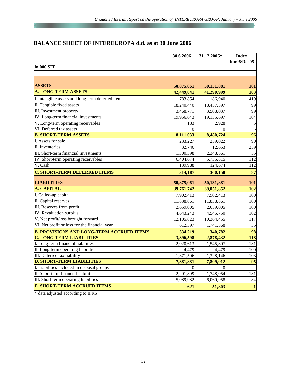# **BALANCE SHEET OF INTEREUROPA d.d. as at 30 June 2006**

|                                                   | 30.6.2006  | 31.12.2005* | <b>Index</b>    |
|---------------------------------------------------|------------|-------------|-----------------|
|                                                   |            |             | Jun06/Dec05     |
| in 000 SIT                                        |            |             |                 |
|                                                   |            |             |                 |
|                                                   |            |             |                 |
| <b>ASSETS</b>                                     | 50,875,061 | 50,131,881  | 101             |
| <b>A. LONG-TERM ASSETS</b>                        | 42,449,841 | 41,290,999  | 103             |
| I. Intangible assets and long-term deferred items | 783,854    | 186,940     | 419             |
| II. Tangible fixed assets                         | 18,240,440 | 18,457,397  | 99              |
| III. Investment property                          | 3,468,771  | 3,508,037   | 99              |
| IV. Long-term financial investments               | 19,956,643 | 19,135,697  | 104             |
| V. Long-term operating receivables                | 133        | 2,928       | 5               |
| VI. Deferred tax assets                           | $\Omega$   | $\Omega$    |                 |
| <b>B. SHORT-TERM ASSETS</b>                       | 8,111,033  | 8,480,724   | $\overline{96}$ |
| I. Assets for sale                                | 233,227    | 259,022     | 90              |
| II. Inventories                                   | 32,746     | 12,653      | 259             |
| III. Short-term financial investments             | 1,300,398  | 2,348,561   | $\overline{55}$ |
| IV. Short-term operating receivables              | 6,404,674  | 5,735,815   | 112             |
| V. Cash                                           | 139,988    | 124,674     | 112             |
| <b>C. SHORT-TERM DEFERRED ITEMS</b>               | 314,187    | 360,158     | 87              |
| <b>LIABILITIES</b>                                | 50,875,061 | 50,131,881  | 101             |
| <b>A. CAPITAL</b>                                 | 39,761,742 | 39,051,852  | 102             |
| I. Called-up capital                              | 7,902,413  | 7,902,413   | 100             |
| II. Capital reserves                              | 11,838,861 | 11,838,861  | 100             |
| III. Reserves from profit                         | 2,659,005  | 2,659,005   | 100             |
| <b>IV.</b> Revaluation surplus                    | 4,643,243  | 4,545,750   | 102             |
| V. Net profit/loss brought forward                | 12,105,823 | 10,364,455  | 117             |
| VI. Net profit or loss for the financial year     | 612,397    | 1,741,368   | 35              |
| <b>B. PROVISIONS AND LONG-TERM ACCRUED ITEMS</b>  | 334,219    | 340,782     | 98              |
| <b>C. LONG-TERM LIABILITIES</b>                   | 3,396,598  | 2,878,432   | 118             |
| I. Long-term financial liabilities                | 2,020,613  | 1,545,807   | 131             |
| II. Long-term operating liabilities               | 4,479      | 4,479       | 100             |
| III. Deferred tax liability                       | 1,371,506  | 1,328,146   | 103             |
| <b>D. SHORT-TERM LIABILITIES</b>                  | 7,381,881  | 7,809,012   | $\overline{95}$ |
| I. Liabilities included in disposal groups        | $\theta$   | $\Omega$    |                 |
| II. Short-term financial liabilities              | 2,291,899  | 1,748,054   | 131             |
| III. Short-term operating liabilities             | 5,089,982  | 6,060,958   | 84              |
| <b>E. SHORT-TERM ACCRUED ITEMS</b>                | 621        | 51,803      | $\mathbf{1}$    |

\* data adjusted according to IFRS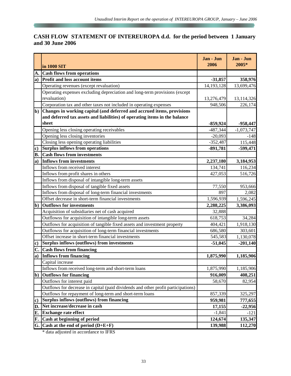# **CASH FLOW STATEMENT OF INTEREUROPA d.d. for the period between 1 January and 30 June 2006**

|              | in 1000 SIT                                                                       | Jan - Jun<br>2006 | Jan - Jun<br>2005* |
|--------------|-----------------------------------------------------------------------------------|-------------------|--------------------|
| A.           | <b>Cash flows from operations</b>                                                 |                   |                    |
| $\bf{a}$ )   | <b>Profit and loss account items</b>                                              | $-31,857$         | 358,976            |
|              | Operating revenues (except revaluation)                                           | 14, 193, 128      | 13,699,476         |
|              | Operating expenses excluding depreciation and long-term provisions (except        |                   |                    |
|              | revaluation)                                                                      | 13,276,479        | 13,114,326         |
|              | Corporation tax and other taxes not included in operating expenses                | 948,506           | 226,174            |
| <sub>b</sub> | Changes in working capital (and deferred and accrued items, provisions            |                   |                    |
|              | and deferred tax assets and liabilities) of operating items in the balance        |                   |                    |
|              | sheet                                                                             | $-859,924$        | -958,447           |
|              | Opening less closing operating receivables                                        | -487,344          | $-1,073,747$       |
|              | Opening less closing inventories                                                  | $-20,093$         | $-148$             |
|              | Closing less opening operating liabilities                                        | $-352,487$        | 115,448            |
| $\bf c)$     | <b>Surplus inflows from operations</b>                                            | $-891,781$        | -599,471           |
| <b>B.</b>    | <b>Cash flows from investments</b>                                                |                   |                    |
| $\bf{a})$    | Inflows from investments                                                          | 2,237,180         | 3,184,953          |
|              | Inflows from received interest                                                    | 134,741           | 116,234            |
|              | Inflows from profit shares in others                                              | 427,053           | 516,726            |
|              | Inflows from disposal of intangible long-term assets                              |                   |                    |
|              | Inflows from disposal of tangible fixed assets                                    | 77,550            | 953,666            |
|              | Inflows from disposal of long-term financial investments                          | 897               | 2,082              |
|              | Offset decrease in short-term financial investments                               | 1,596,939         | 1,596,245          |
| $\mathbf{b}$ | <b>Outflows for investments</b>                                                   | 2,288,225         | 3,386,093          |
|              | Acquisition of subsidiaries net of cash acquired                                  | 32,888            |                    |
|              | Outflowss for acquisition of intangible long-term assets                          | 618,753           | 34,284             |
|              | Outflows for acquisition of tangible fixed assets and investment property         | 404,421           | 1,918,130          |
|              | Outflowss for acquisition of long-term financial investments                      | 686,580           | 303,601            |
|              | Offset increase in short-term financial investments                               | 545,583           | 1,130,078          |
| $\bf c)$     | <b>Surplus inflows (outflows) from investments</b>                                | $-51,045$         | $-201,140$         |
| C.           | <b>Cash flows from financing</b>                                                  |                   |                    |
| $\bf{a}$     | <b>Inflows from financing</b>                                                     | 1,875,990         | 1,185,906          |
|              | Capital increase                                                                  |                   |                    |
|              | Inflows from received long-term and short-term loans                              | 1,875,990         | 1,185,906          |
| $\mathbf{b}$ | <b>Outflows for financing</b>                                                     | 916,009           | 408,251            |
|              | Outflows for interest paid                                                        | 58,670            | 82,954             |
|              | Outflows for decrease in capital (paid dividends and other profit participations) |                   |                    |
|              | Outflows for repayment of long-term and short-term loans                          | 857,339           | 325,297            |
| $\bf c)$     | <b>Surplus inflows (outflows) from financing</b>                                  | 959,981           | 777,655            |
| D.           | Net increase/decrease in cash                                                     | 17,155            | $-22,956$          |
| E.           | <b>Exchange rate effect</b>                                                       | $-1,841$          | $-121$             |
| F.           | Cash at beginning of period                                                       | 124,674           | 135,347            |
| G.           | Cash at the end of period $(D+E+F)$                                               | 139,988           | 112,270            |

\* data adjusted in accordance to IFRS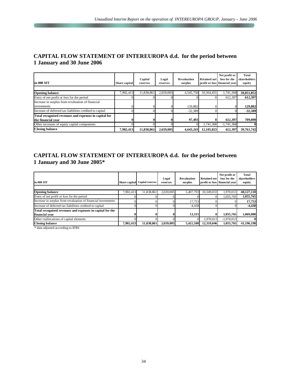## **CAPITAL FLOW STATEMENT OF INTEREUROPA d.d. for the period between 1 January and 30 June 2006**

| in 000 SIT                                               | Share capital | Capital<br>reserves | Legal<br>reserves | Revaluation<br>surplus | <b>Retained net</b> | Net profit or<br>loss for the<br>profit or loss financial year | Total<br>shareholders<br>equity |
|----------------------------------------------------------|---------------|---------------------|-------------------|------------------------|---------------------|----------------------------------------------------------------|---------------------------------|
|                                                          |               |                     |                   |                        |                     |                                                                |                                 |
| <b>Opening balance</b>                                   | 7.902.413     | 11.838.861          | 2,659,005         | 4.545.750              | 10,364,455          | 1,741,368                                                      | 39,051,852                      |
| Entry of net profit or loss for the period               |               |                     |                   |                        |                     | 612.397                                                        | 612,397                         |
| Increase in surplus from revaluation of financial        |               |                     |                   |                        |                     |                                                                |                                 |
| investments                                              |               |                     |                   | 129,882                |                     |                                                                | 129,882                         |
| Increase of deferred tax liabilities credited to capital |               |                     |                   | $-32,389$              |                     |                                                                | $-32.389$                       |
| Total recognised revenues and expenses in capital for    |               |                     |                   |                        |                     |                                                                |                                 |
| the financial year                                       |               |                     |                   | 97.493                 |                     | 612.397                                                        | 709,890                         |
| Other increases of equity capital components             |               |                     |                   |                        | 1,741,368           | $-1,741,368$                                                   | 01                              |
| <b>Closing balance</b>                                   | 7.902.413     | 11,838,861          | 2.659,005         | 4.643.243              | 12.105.823          | 612.397                                                        | 39,761,742                      |

## **CAPITAL FLOW STATEMENT OF INTEREUROPA d.d. for the period between 1 January and 30 June 2005\***

| lin 000 SIT                                                   |           | Share capital Capital reserves | Legal<br>reserves | <b>Revaluation</b><br>surplus | <b>Retained net</b> | Net profit or<br>loss for the<br>profit or loss financial year | <b>Total</b><br>shareholders<br>equity |
|---------------------------------------------------------------|-----------|--------------------------------|-------------------|-------------------------------|---------------------|----------------------------------------------------------------|----------------------------------------|
|                                                               |           |                                |                   |                               |                     |                                                                |                                        |
| <b>Opening balance</b>                                        | 7,902,413 | 11,838,861                     | 2,659,005         | 5,407,793                     | 10,349,033          | 1,970,013                                                      | 40,127,118                             |
| Entry of net profit or loss for the period                    |           |                                |                   |                               |                     | 1,055,765                                                      | 1,055,765                              |
| Increase in surplus from revaluation of financial investments |           |                                |                   | 17,753                        |                     |                                                                | 17,753                                 |
| Increase of deferred tax liabilities credited to capital      |           |                                |                   | $-4,438$                      |                     |                                                                | $-4,438$                               |
| Total recognised revenues and expenses in capital for the     |           |                                |                   |                               |                     |                                                                |                                        |
| financial vear                                                | 0         |                                |                   | 13.315                        |                     | 1,055,765                                                      | 1,069,080                              |
| Other reallocations of capital elements                       |           |                                |                   |                               | 1,970,013           | $-1,970,013$                                                   |                                        |
| <b>Closing balance</b>                                        | 7.902.413 | 11,838,861                     | 2,659,005         | 5,421,108                     | 12,319,046          | 1,055,765                                                      | 41,196,198                             |

\* data adjusted according to IFRS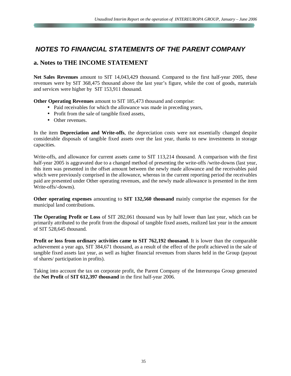# *NOTES TO FINANCIAL STATEMENTS OF THE PARENT COMPANY*

# **a. Notes to THE INCOME STATEMENT**

**Net Sales Revenues** amount to SIT 14,043,429 thousand. Compared to the first half-year 2005, these revenues were by SIT 368,475 thousand above the last year's figure, while the cost of goods, materials and services were higher by SIT 153,911 thousand.

**Other Operating Revenues** amount to SIT 185,473 thousand and comprise:

- Paid receivables for which the allowance was made in preceding years,
- Profit from the sale of tangible fixed assets,
- Other revenues.

In the item **Depreciation and Write-offs**, the depreciation costs were not essentially changed despite considerable disposals of tangible fixed assets over the last year, thanks to new investments in storage capacities.

Write-offs, and allowance for current assets came to SIT 113,214 thousand. A comparison with the first half-year 2005 is aggravated due to a changed method of presenting the write-offs /write-downs (last year, this item was presented in the offset amount between the newly made allowance and the receivables paid which were previously comprised in the allowance, whereas in the current reporting period the receivables paid are presented under Other operating revenues, and the newly made allowance is presented in the item Write-offs/-downs).

**Other operating expenses** amounting to **SIT 132,560 thousand** mainly comprise the expenses for the municipal land contributions.

**The Operating Profit or Loss** of SIT 282,061 thousand was by half lower than last year, which can be primarily attributed to the profit from the disposal of tangible fixed assets, realized last year in the amount of SIT 528,645 thousand.

**Profit or loss from ordinary activities came to SIT 762,192 thousand.** It is lower than the comparable achievement a year ago, SIT 384,671 thousand, as a result of the effect of the profit achieved in the sale of tangible fixed assets last year, as well as higher financial revenues from shares held in the Group (payout of shares/ participation in profits).

Taking into account the tax on corporate profit, the Parent Company of the Intereuropa Group generated the **Net Profit** of **SIT 612,397 thousand** in the first half-year 2006.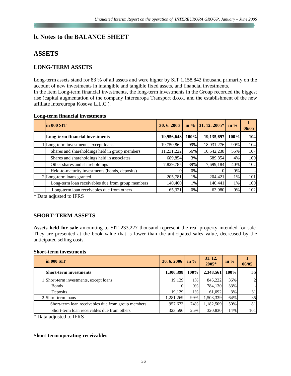# **b. Notes to the BALANCE SHEET**

# **ASSETS**

## **LONG-TERM ASSETS**

Long-term assets stand for 83 % of all assets and were higher by SIT 1,158,842 thousand primarily on the account of new investments in intangible and tangible fixed assets, and financial investments. In the item Long-term financial investments, the long-term investments in the Group recorded the biggest rise (capital augmentation of the company Intereuropa Transport d.o.o., and the establishment of the new affiliate Intereuropa Kosova L.L.C.).

| ong-term financial investments                    |            |         |               |         |       |
|---------------------------------------------------|------------|---------|---------------|---------|-------|
| lin 000 SIT                                       | 30.6.2006  | in $\%$ | $31.12.2005*$ | in $\%$ | 06/05 |
| Long-term financial investments                   | 19,956,643 | 100%    | 19,135,697    | 100%    | 104   |
| Long-term investments, except loans               | 19,750,862 | 99%     | 18,931,276    | 99%     | 104   |
| Shares and shareholdings held in group members    | 11,231,222 | 56%     | 10,542,238    | 55%     | 107   |
| Shares and shareholdings held in associates       | 689,854    | 3%      | 689,854       | 4%      | 100   |
| Other shares and shareholdings                    | 7,829,785  | 39%     | 7,699,184     | 40%     | 102   |
| Held-to-maturity investments (bonds, deposits)    |            | $0\%$   |               | $0\%$   |       |
| 2 Long-term loans granted                         | 205,781    | $1\%$   | 204,421       | 1%      | 101   |
| Long-term loan receivables due from group members | 140.460    | $1\%$   | 140.441       | 1%      | 100   |

#### **Long-term financial investments**

\* Data adjusted to IFRS

#### **SHORT-TERM ASSETS**

**Assets held for sale** amounting to SIT 233,227 thousand represent the real property intended for sale. They are presented at the book value that is lower than the anticipated sales value, decreased by the anticipated selling costs.

Long-term loan receivables due from others  $\begin{array}{|l|c|c|c|c|c|} \hline 65,321 & 0\% & 63,980 & 0\% & 102 \hline \end{array}$ 

#### **Short-term investments**

| $\ln 000$ SIT                                      | 30.6.2006 | in $\%$ | 31.12.<br>2005* | in $%$ | 06/05 |
|----------------------------------------------------|-----------|---------|-----------------|--------|-------|
| <b>Short-term investments</b>                      | 1,300,398 | 100%    | 2,348,561       | 100%   | 55    |
| Short-term investments, except loans               | 19.129    | $1\%$   | 845,222         | 36%    | 2     |
| <b>Bonds</b>                                       |           | $0\%$   | 784,130         | 33%    |       |
| Deposits                                           | 19.129    | $1\%$   | 61.092          | 3%     | 31    |
| 2 Short-term loans                                 | 1,281,269 | 99%     | 1,503,339       | 64%    | 85    |
| Short-term loan receivables due from group members | 957,673   | 74%     | 1,182,509       | 50%    | 81    |
| Short-term loan receivables due from others        | 323,596   | 25%     | 320,830         | 14%    | 101   |

\* Data adjusted to IFRS

#### **Short-term operating receivables**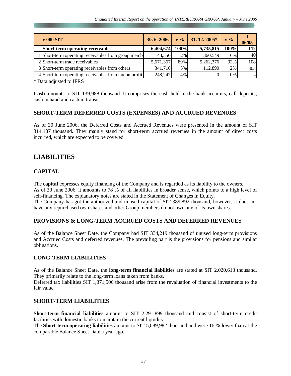| $\bf{v}$ 000 SIT                                      | 30.6.2006 |      | $\mathbf{v}$ % 31. 12. 2005* | $V\%$ | 06/05 |
|-------------------------------------------------------|-----------|------|------------------------------|-------|-------|
| <b>Short-term operating receivables</b>               | 6,404,674 | 100% | 5,735,815                    | 100%  | 112   |
| Short-term operating receivables from group memb      | 143,350   | 2%   | 360,549                      | 6%    | 40    |
| 2 Short-term trade receivables                        | 5,671,367 | 89%  | 5,262,376                    | 92%   | 108   |
| 3 Short-term operating receivables from others        | 341,710   | 5%   | 112,890                      | 2%    | 303   |
| 4 Short-term operating receivables from tax on profit | 248,247   | 4%   |                              | 0%    |       |

\* Data adjusted to IFRS

**Cash** amounts to SIT 139,988 thousand. It comprises the cash held in the bank accounts, call deposits, cash in hand and cash in transit.

#### **SHORT-TERM DEFERRED COSTS (EXPENSES) AND ACCRUED REVENUES**

As of 30 June 2006, the Deferred Costs and Accrued Revenues were presented in the amount of SIT 314,187 thousand. They mainly stand for short-term accrued revenues in the amount of direct costs incurred, which are expected to be covered.

# **LIABILITIES**

#### **CAPITAL**

The **capital** expresses equity financing of the Company and is regarded as its liability to the owners. As of 30 June 2006, it amounts to 78 % of all liabilities in broader sense, which points to a high level of self-financing. The explanatory notes are stated in the Statement of Changes in Equity.

The Company has got the authorized and unused capital of SIT 389,892 thousand, however, it does not have any repurchased own shares and other Group members do not own any of its own shares.

#### **PROVISIONS & LONG-TERM ACCRUED COSTS AND DEFERRED REVENUES**

As of the Balance Sheet Date, the Company had SIT 334,219 thousand of unused long-term provisions and Accrued Costs and deferred revenues. The prevailing part is the provisions for pensions and similar obligations.

#### **LONG-TERM LIABILITIES**

As of the Balance Sheet Date, the **long-term financial liabilities** are stated at SIT 2,020,613 thousand. They primarily relate to the long-term loans taken from banks.

Deferred tax liabilities SIT 1,371,506 thousand arise from the revaluation of financial investments to the fair value.

#### **SHORT-TERM LIABILITIES**

**Short-term financial liabilities** amount to SIT 2,291,899 thousand and consist of short-term credit facilities with domestic banks to maintain the current liquidity.

The **Short-term operating liabilities** amount to SIT 5,089,982 thousand and were 16 % lower than at the comparable Balance Sheet Date a year ago.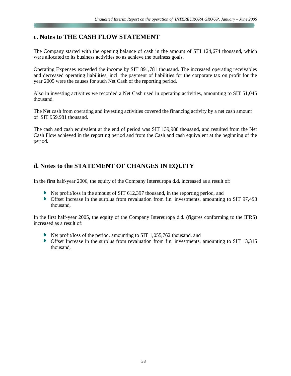# **c. Notes to THE CASH FLOW STATEMENT**

The Company started with the opening balance of cash in the amount of STI 124,674 thousand, which were allocated to its business activities so as achieve the business goals.

Operating Expenses exceeded the income by SIT 891,781 thousand. The increased operating receivables and decreased operating liabilities, incl. the payment of liabilities for the corporate tax on profit for the year 2005 were the causes for such Net Cash of the reporting period.

Also in investing activities we recorded a Net Cash used in operating activities, amounting to SIT 51,045 thousand.

The Net cash from operating and investing activities covered the financing activity by a net cash amount of SIT 959,981 thousand.

The cash and cash equivalent at the end of period was SIT 139,988 thousand, and resulted from the Net Cash Flow achieved in the reporting period and from the Cash and cash equivalent at the beginning of the period.

# **d. Notes to the STATEMENT OF CHANGES IN EQUITY**

In the first half-year 2006, the equity of the Company Intereuropa d.d. increased as a result of:

- Net profit/loss in the amount of SIT 612,397 thousand, in the reporting period, and
- Offset Increase in the surplus from revaluation from fin. investments, amounting to SIT 97,493 thousand,

In the first half-year 2005, the equity of the Company Intereuropa d.d. (figures conforming to the IFRS) increased as a result of:

- Net profit/loss of the period, amounting to SIT 1,055,762 thousand, and
- Offset Increase in the surplus from revaluation from fin. investments, amounting to SIT 13,315 thousand,